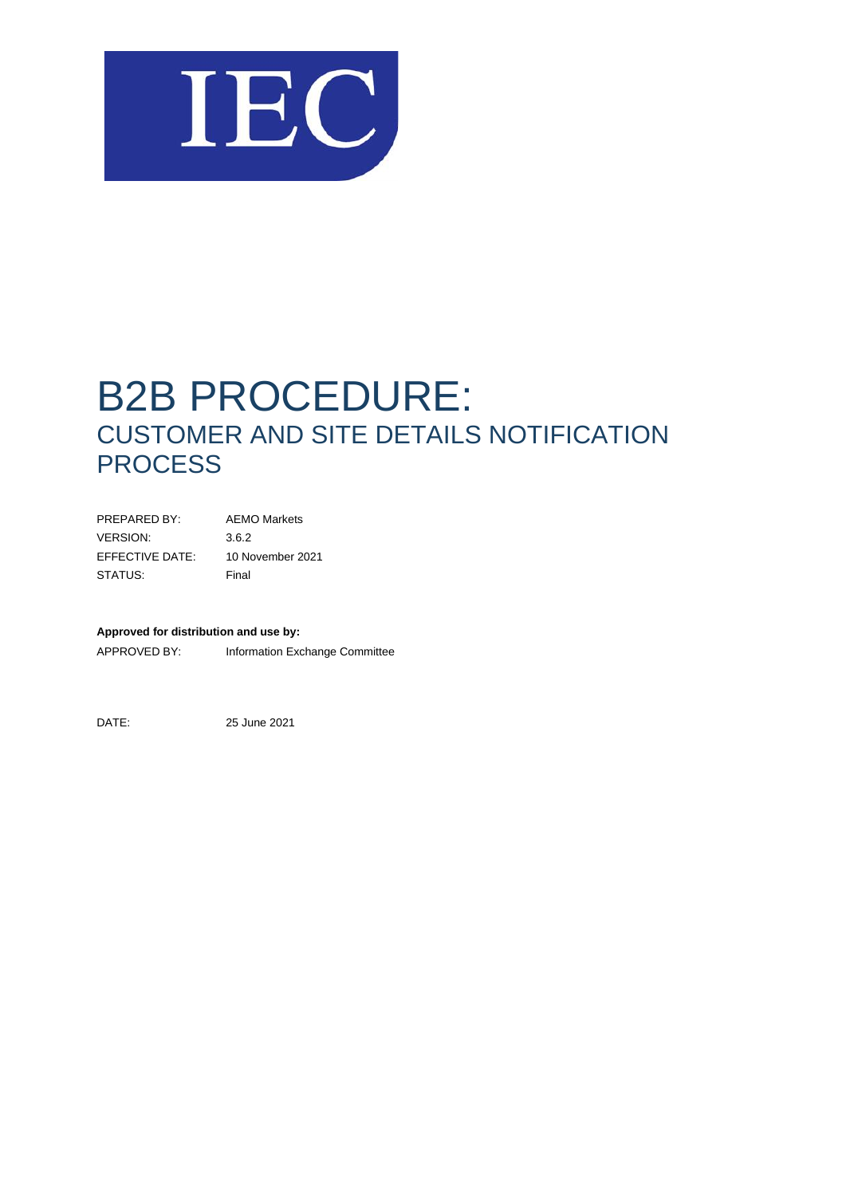

# B2B PROCEDURE: CUSTOMER AND SITE DETAILS NOTIFICATION **PROCESS**

| PRFPARFD BY:    | <b>AEMO Markets</b> |
|-----------------|---------------------|
| VERSION:        | 3.6.2               |
| EFFECTIVE DATE: | 10 November 2021    |
| STATUS:         | Final               |

#### **Approved for distribution and use by:**

APPROVED BY: Information Exchange Committee

DATE: 25 June 2021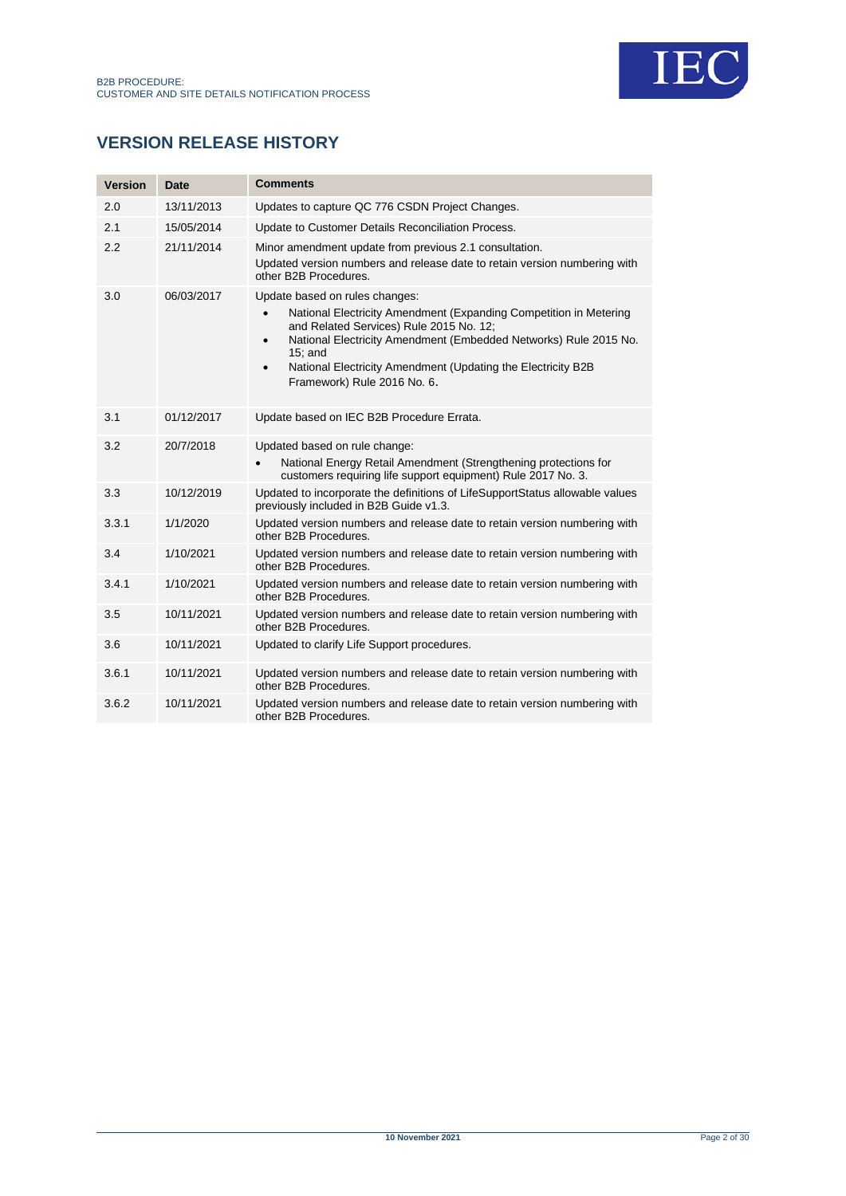

# **VERSION RELEASE HISTORY**

| <b>Version</b> | Date       | <b>Comments</b>                                                                                                                                                                                                                                                                                                                                           |
|----------------|------------|-----------------------------------------------------------------------------------------------------------------------------------------------------------------------------------------------------------------------------------------------------------------------------------------------------------------------------------------------------------|
| 2.0            | 13/11/2013 | Updates to capture QC 776 CSDN Project Changes.                                                                                                                                                                                                                                                                                                           |
| 2.1            | 15/05/2014 | Update to Customer Details Reconciliation Process.                                                                                                                                                                                                                                                                                                        |
| 2.2            | 21/11/2014 | Minor amendment update from previous 2.1 consultation.<br>Updated version numbers and release date to retain version numbering with<br>other B2B Procedures.                                                                                                                                                                                              |
| 3.0            | 06/03/2017 | Update based on rules changes:<br>National Electricity Amendment (Expanding Competition in Metering<br>and Related Services) Rule 2015 No. 12;<br>National Electricity Amendment (Embedded Networks) Rule 2015 No.<br>$\bullet$<br>$15$ ; and<br>National Electricity Amendment (Updating the Electricity B2B<br>$\bullet$<br>Framework) Rule 2016 No. 6. |
| 3.1            | 01/12/2017 | Update based on IEC B2B Procedure Errata.                                                                                                                                                                                                                                                                                                                 |
| 3.2            | 20/7/2018  | Updated based on rule change:<br>National Energy Retail Amendment (Strengthening protections for<br>customers requiring life support equipment) Rule 2017 No. 3.                                                                                                                                                                                          |
| 3.3            | 10/12/2019 | Updated to incorporate the definitions of LifeSupportStatus allowable values<br>previously included in B2B Guide v1.3.                                                                                                                                                                                                                                    |
| 3.3.1          | 1/1/2020   | Updated version numbers and release date to retain version numbering with<br>other B2B Procedures.                                                                                                                                                                                                                                                        |
| 3.4            | 1/10/2021  | Updated version numbers and release date to retain version numbering with<br>other B2B Procedures.                                                                                                                                                                                                                                                        |
| 3.4.1          | 1/10/2021  | Updated version numbers and release date to retain version numbering with<br>other B2B Procedures.                                                                                                                                                                                                                                                        |
| 3.5            | 10/11/2021 | Updated version numbers and release date to retain version numbering with<br>other B2B Procedures.                                                                                                                                                                                                                                                        |
| 3.6            | 10/11/2021 | Updated to clarify Life Support procedures.                                                                                                                                                                                                                                                                                                               |
| 3.6.1          | 10/11/2021 | Updated version numbers and release date to retain version numbering with<br>other B2B Procedures.                                                                                                                                                                                                                                                        |
| 3.6.2          | 10/11/2021 | Updated version numbers and release date to retain version numbering with<br>other B2B Procedures.                                                                                                                                                                                                                                                        |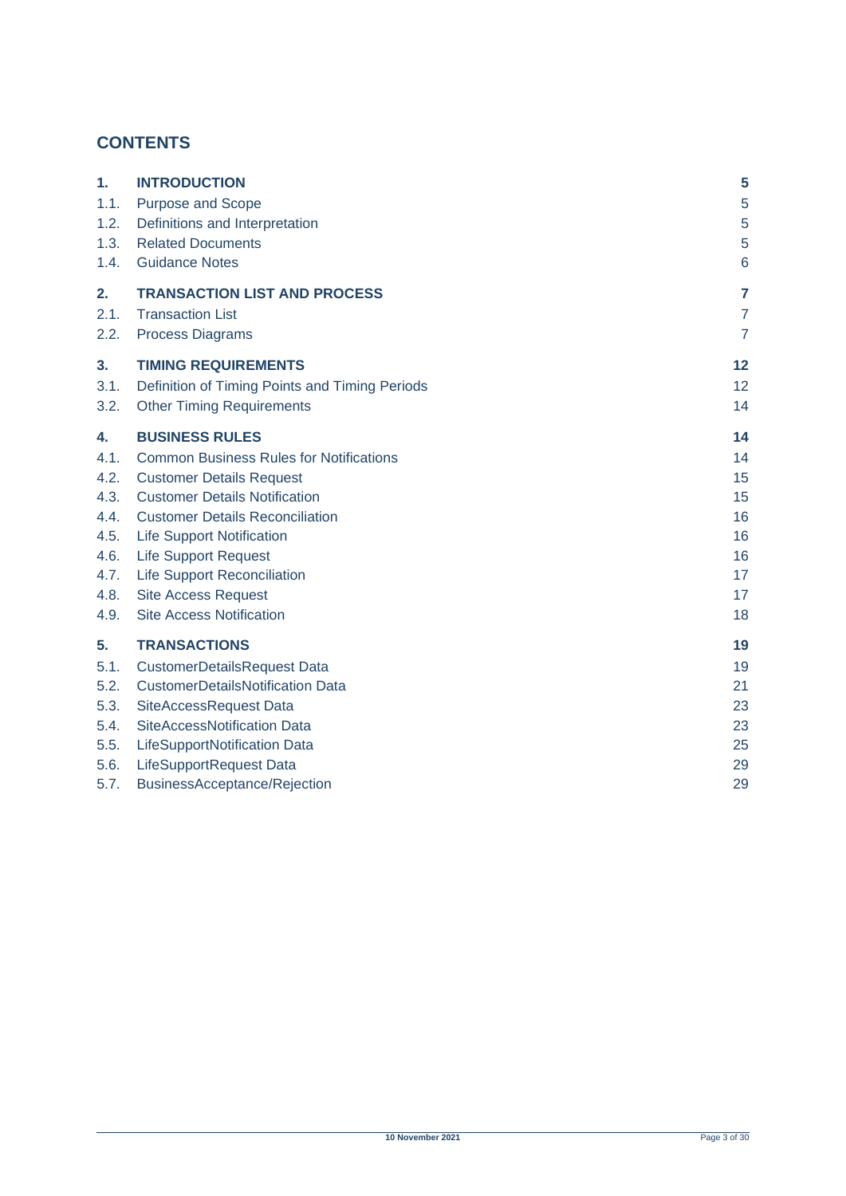# **CONTENTS**

| 1.   | <b>INTRODUCTION</b>                            | 5              |
|------|------------------------------------------------|----------------|
| 1.1. | Purpose and Scope                              | 5              |
| 1.2. | Definitions and Interpretation                 | 5              |
| 1.3. | <b>Related Documents</b>                       | 5              |
| 1.4. | <b>Guidance Notes</b>                          | 6              |
| 2.   | <b>TRANSACTION LIST AND PROCESS</b>            | 7              |
| 2.1. | <b>Transaction List</b>                        | $\overline{7}$ |
| 2.2. | <b>Process Diagrams</b>                        | $\overline{7}$ |
| 3.   | <b>TIMING REQUIREMENTS</b>                     | 12             |
| 3.1. | Definition of Timing Points and Timing Periods | 12             |
| 3.2. | <b>Other Timing Requirements</b>               | 14             |
| 4.   | <b>BUSINESS RULES</b>                          | 14             |
| 4.1. | <b>Common Business Rules for Notifications</b> | 14             |
| 4.2. | <b>Customer Details Request</b>                | 15             |
| 4.3. | <b>Customer Details Notification</b>           | 15             |
| 4.4. | <b>Customer Details Reconciliation</b>         | 16             |
| 4.5. | <b>Life Support Notification</b>               | 16             |
| 4.6. | <b>Life Support Request</b>                    | 16             |
| 4.7. | <b>Life Support Reconciliation</b>             | 17             |
| 4.8. | <b>Site Access Request</b>                     | 17             |
| 4.9. | <b>Site Access Notification</b>                | 18             |
| 5.   | <b>TRANSACTIONS</b>                            | 19             |
| 5.1. | <b>CustomerDetailsRequest Data</b>             | 19             |
| 5.2. | <b>CustomerDetailsNotification Data</b>        | 21             |
| 5.3. | SiteAccessRequest Data                         | 23             |
| 5.4. | SiteAccessNotification Data                    | 23             |
| 5.5. | LifeSupportNotification Data                   | 25             |
| 5.6. | LifeSupportRequest Data                        | 29             |
| 5.7. | BusinessAcceptance/Rejection                   | 29             |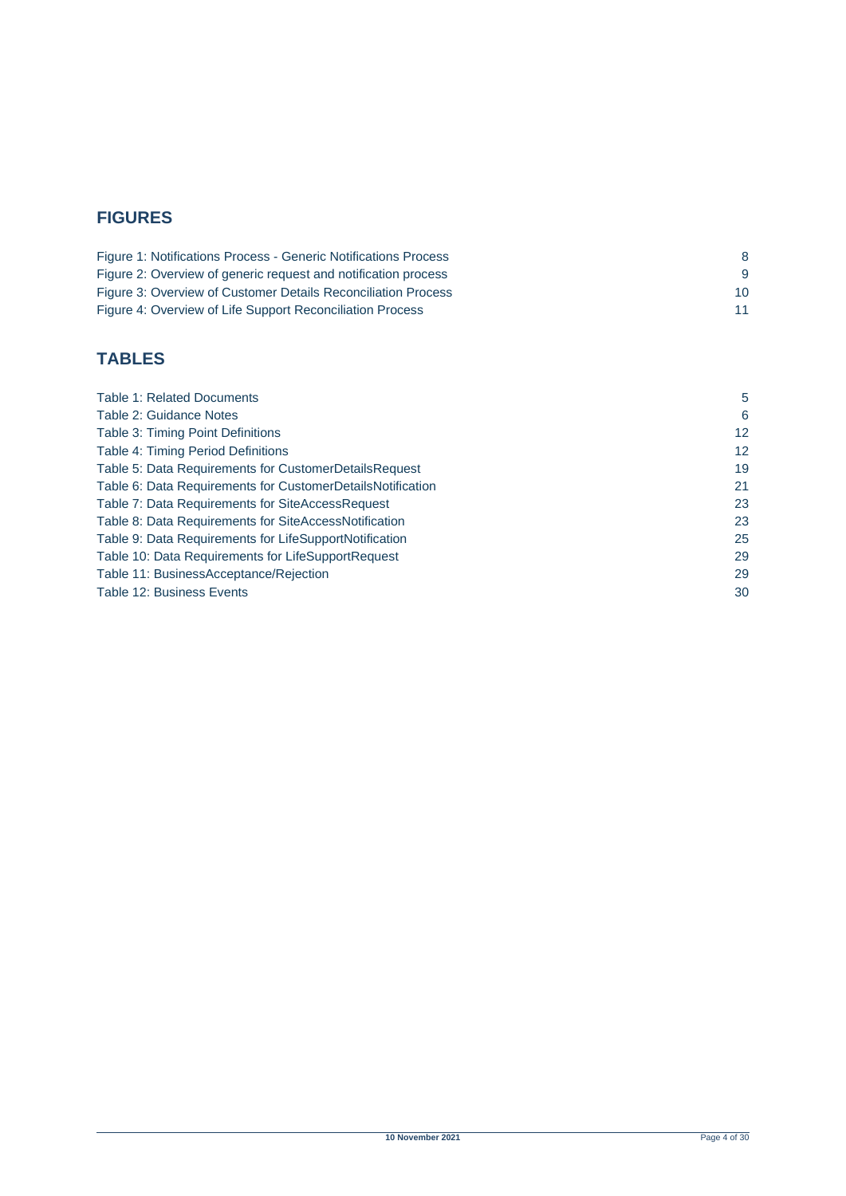# **FIGURES**

| Figure 1: Notifications Process - Generic Notifications Process |          |
|-----------------------------------------------------------------|----------|
| Figure 2: Overview of generic request and notification process  | <u>g</u> |
| Figure 3: Overview of Customer Details Reconciliation Process   | 10       |
| Figure 4: Overview of Life Support Reconciliation Process       |          |

# **TABLES**

| Table 1: Related Documents                                 | 5                 |
|------------------------------------------------------------|-------------------|
| Table 2: Guidance Notes                                    | 6                 |
| <b>Table 3: Timing Point Definitions</b>                   | $12 \overline{ }$ |
| <b>Table 4: Timing Period Definitions</b>                  | 12                |
| Table 5: Data Requirements for CustomerDetailsRequest      | 19                |
| Table 6: Data Requirements for CustomerDetailsNotification | 21                |
| Table 7: Data Requirements for SiteAccessRequest           | 23                |
| Table 8: Data Requirements for SiteAccessNotification      | 23                |
| Table 9: Data Requirements for LifeSupportNotification     | 25                |
| Table 10: Data Requirements for LifeSupportRequest         | 29                |
| Table 11: BusinessAcceptance/Rejection                     | 29                |
| Table 12: Business Events                                  | 30                |
|                                                            |                   |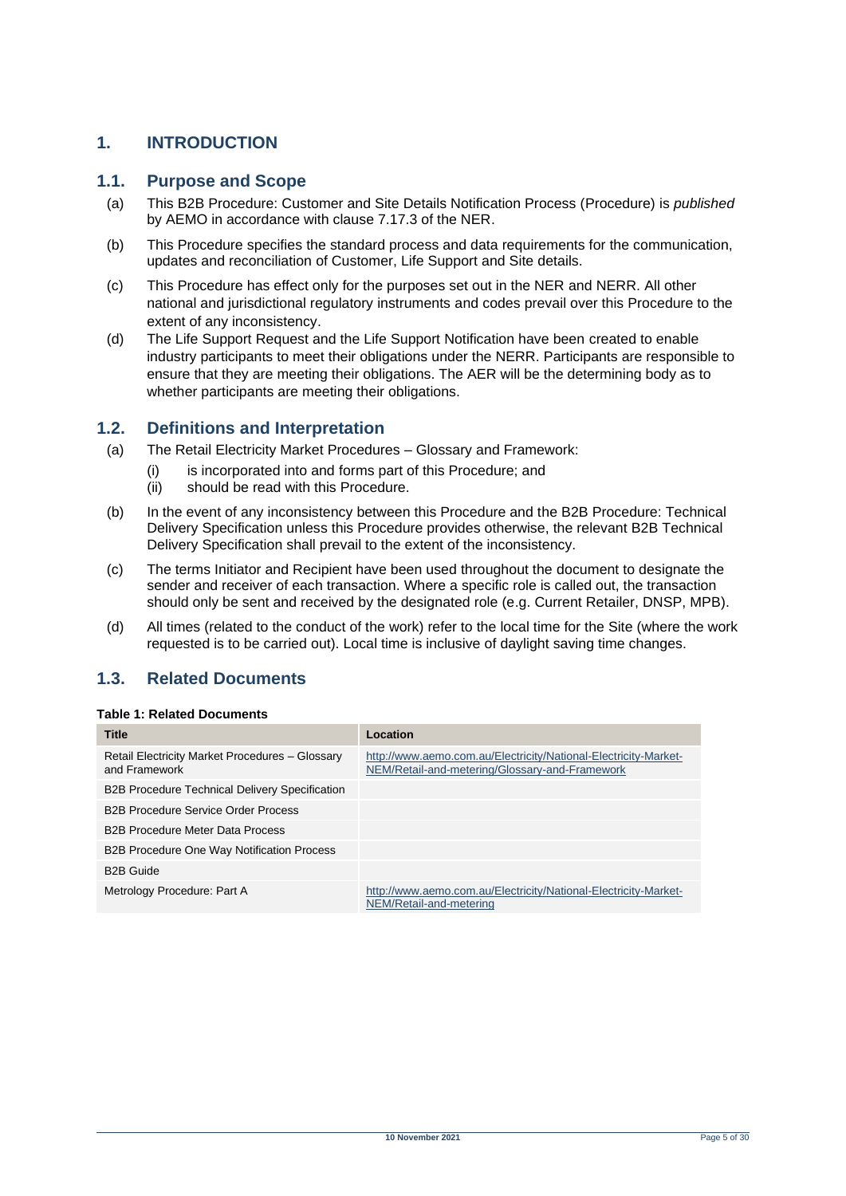### <span id="page-4-0"></span>**1. INTRODUCTION**

### <span id="page-4-1"></span>**1.1. Purpose and Scope**

- (a) This B2B Procedure: Customer and Site Details Notification Process (Procedure) is *published* by AEMO in accordance with clause 7.17.3 of the NER.
- (b) This Procedure specifies the standard process and data requirements for the communication, updates and reconciliation of Customer, Life Support and Site details.
- (c) This Procedure has effect only for the purposes set out in the NER and NERR. All other national and jurisdictional regulatory instruments and codes prevail over this Procedure to the extent of any inconsistency.
- (d) The Life Support Request and the Life Support Notification have been created to enable industry participants to meet their obligations under the NERR. Participants are responsible to ensure that they are meeting their obligations. The AER will be the determining body as to whether participants are meeting their obligations.

#### <span id="page-4-2"></span>**1.2. Definitions and Interpretation**

- (a) The Retail Electricity Market Procedures Glossary and Framework:
	- (i) is incorporated into and forms part of this Procedure; and
	- (ii) should be read with this Procedure.
- (b) In the event of any inconsistency between this Procedure and the B2B Procedure: Technical Delivery Specification unless this Procedure provides otherwise, the relevant B2B Technical Delivery Specification shall prevail to the extent of the inconsistency.
- (c) The terms Initiator and Recipient have been used throughout the document to designate the sender and receiver of each transaction. Where a specific role is called out, the transaction should only be sent and received by the designated role (e.g. Current Retailer, DNSP, MPB).
- (d) All times (related to the conduct of the work) refer to the local time for the Site (where the work requested is to be carried out). Local time is inclusive of daylight saving time changes.

### <span id="page-4-3"></span>**1.3. Related Documents**

#### <span id="page-4-4"></span>**Table 1: Related Documents**

| <b>Title</b>                                                     | Location                                                                                                          |
|------------------------------------------------------------------|-------------------------------------------------------------------------------------------------------------------|
| Retail Electricity Market Procedures - Glossary<br>and Framework | http://www.aemo.com.au/Electricity/National-Electricity-Market-<br>NEM/Retail-and-metering/Glossary-and-Framework |
| <b>B2B Procedure Technical Delivery Specification</b>            |                                                                                                                   |
| <b>B2B Procedure Service Order Process</b>                       |                                                                                                                   |
| <b>B2B Procedure Meter Data Process</b>                          |                                                                                                                   |
| <b>B2B Procedure One Way Notification Process</b>                |                                                                                                                   |
| <b>B2B Guide</b>                                                 |                                                                                                                   |
| Metrology Procedure: Part A                                      | http://www.aemo.com.au/Electricity/National-Electricity-Market-<br>NEM/Retail-and-metering                        |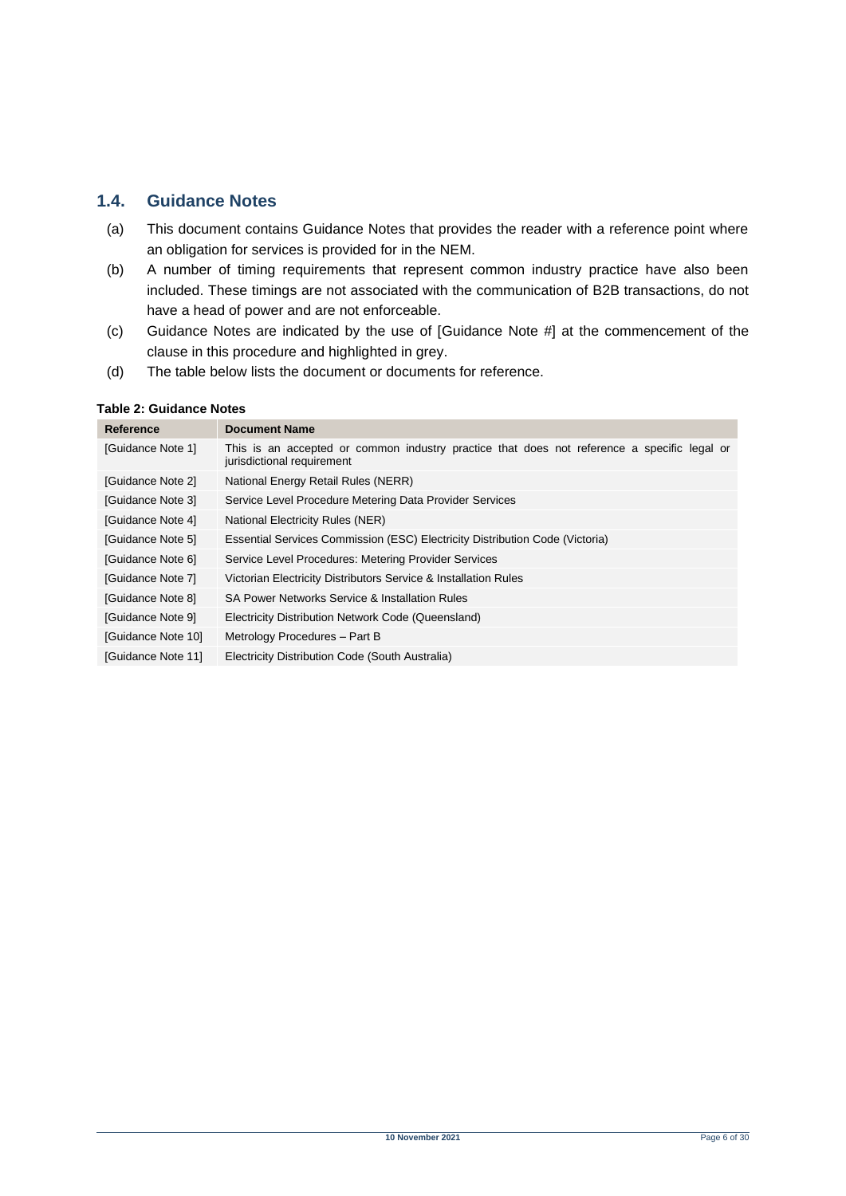### <span id="page-5-0"></span>**1.4. Guidance Notes**

- (a) This document contains Guidance Notes that provides the reader with a reference point where an obligation for services is provided for in the NEM.
- (b) A number of timing requirements that represent common industry practice have also been included. These timings are not associated with the communication of B2B transactions, do not have a head of power and are not enforceable.
- (c) Guidance Notes are indicated by the use of [Guidance Note #] at the commencement of the clause in this procedure and highlighted in grey.
- (d) The table below lists the document or documents for reference.

#### <span id="page-5-1"></span>**Table 2: Guidance Notes**

| Reference          | <b>Document Name</b>                                                                                                      |  |
|--------------------|---------------------------------------------------------------------------------------------------------------------------|--|
| [Guidance Note 1]  | This is an accepted or common industry practice that does not reference a specific legal or<br>jurisdictional requirement |  |
| [Guidance Note 2]  | National Energy Retail Rules (NERR)                                                                                       |  |
| [Guidance Note 3]  | Service Level Procedure Metering Data Provider Services                                                                   |  |
| [Guidance Note 4]  | National Electricity Rules (NER)                                                                                          |  |
| [Guidance Note 5]  | Essential Services Commission (ESC) Electricity Distribution Code (Victoria)                                              |  |
| [Guidance Note 6]  | Service Level Procedures: Metering Provider Services                                                                      |  |
| [Guidance Note 7]  | Victorian Electricity Distributors Service & Installation Rules                                                           |  |
| [Guidance Note 8]  | SA Power Networks Service & Installation Rules                                                                            |  |
| [Guidance Note 9]  | Electricity Distribution Network Code (Queensland)                                                                        |  |
| [Guidance Note 10] | Metrology Procedures - Part B                                                                                             |  |
| [Guidance Note 11] | Electricity Distribution Code (South Australia)                                                                           |  |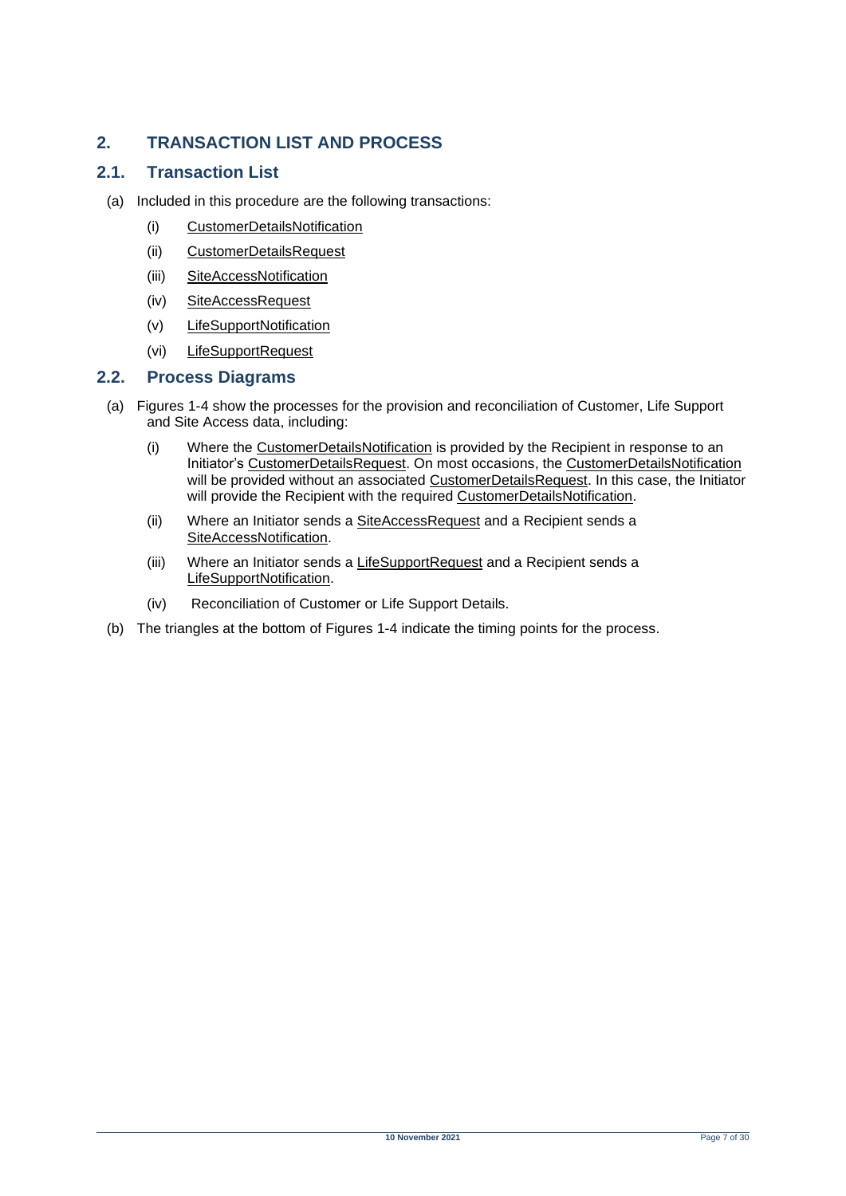# <span id="page-6-0"></span>**2. TRANSACTION LIST AND PROCESS**

### <span id="page-6-1"></span>**2.1. Transaction List**

- (a) Included in this procedure are the following transactions:
	- (i) CustomerDetailsNotification
	- (ii) CustomerDetailsRequest
	- (iii) SiteAccessNotification
	- (iv) SiteAccessRequest
	- (v) LifeSupportNotification
	- (vi) LifeSupportRequest

#### <span id="page-6-2"></span>**2.2. Process Diagrams**

- (a) Figures 1-4 show the processes for the provision and reconciliation of Customer, Life Support and Site Access data, including:
	- (i) Where the CustomerDetailsNotification is provided by the Recipient in response to an Initiator's CustomerDetailsRequest. On most occasions, the CustomerDetailsNotification will be provided without an associated CustomerDetailsRequest. In this case, the Initiator will provide the Recipient with the required CustomerDetailsNotification.
	- (ii) Where an Initiator sends a SiteAccessRequest and a Recipient sends a SiteAccessNotification.
	- (iii) Where an Initiator sends a LifeSupportRequest and a Recipient sends a LifeSupportNotification.
	- (iv) Reconciliation of Customer or Life Support Details.
- (b) The triangles at the bottom of Figures 1-4 indicate the timing points for the process.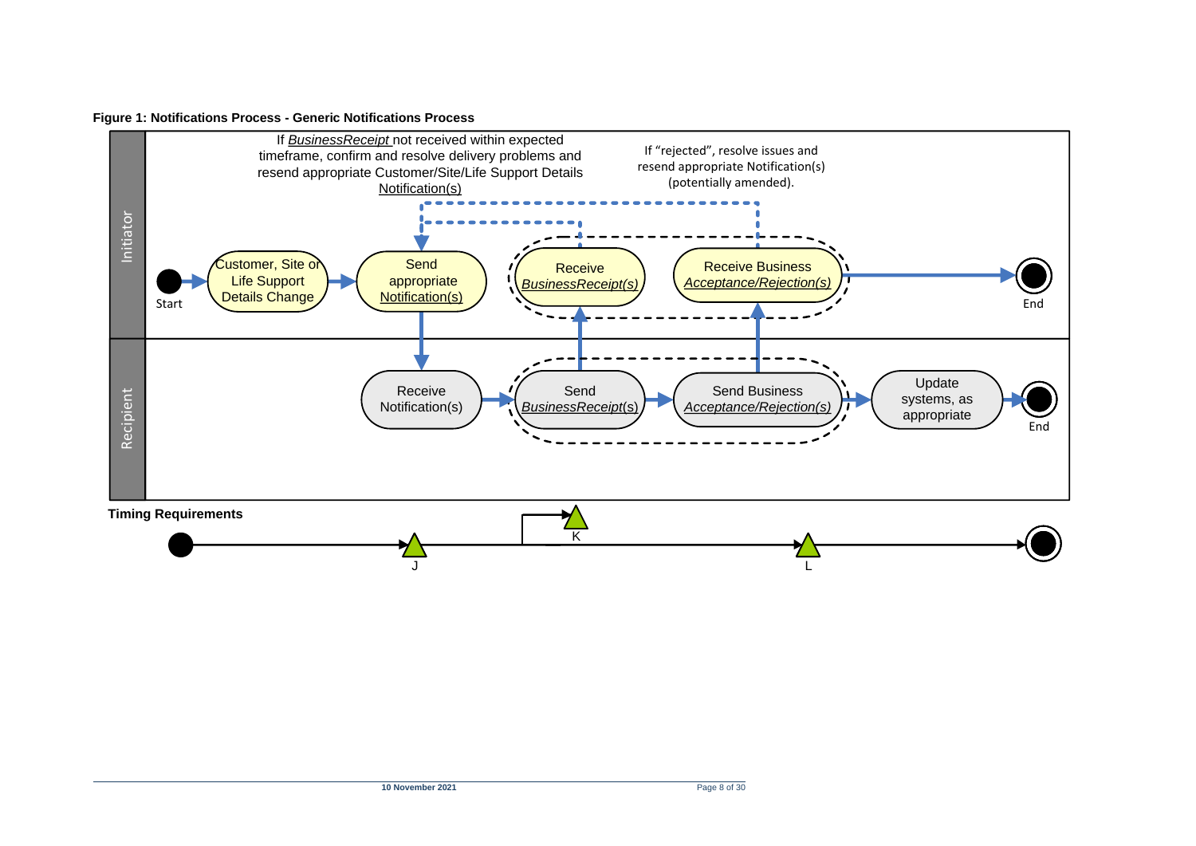#### **Figure 1: Notifications Process - Generic Notifications Process**

<span id="page-7-0"></span>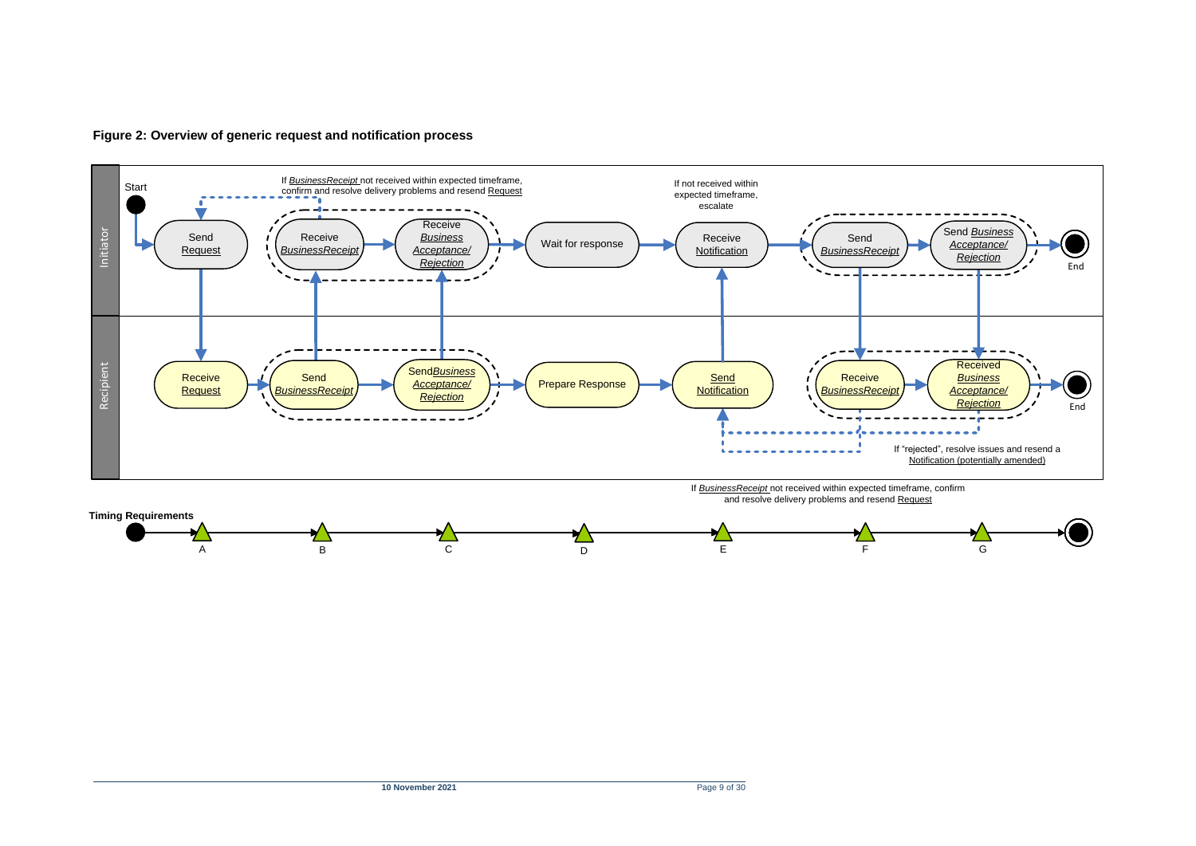

<span id="page-8-0"></span>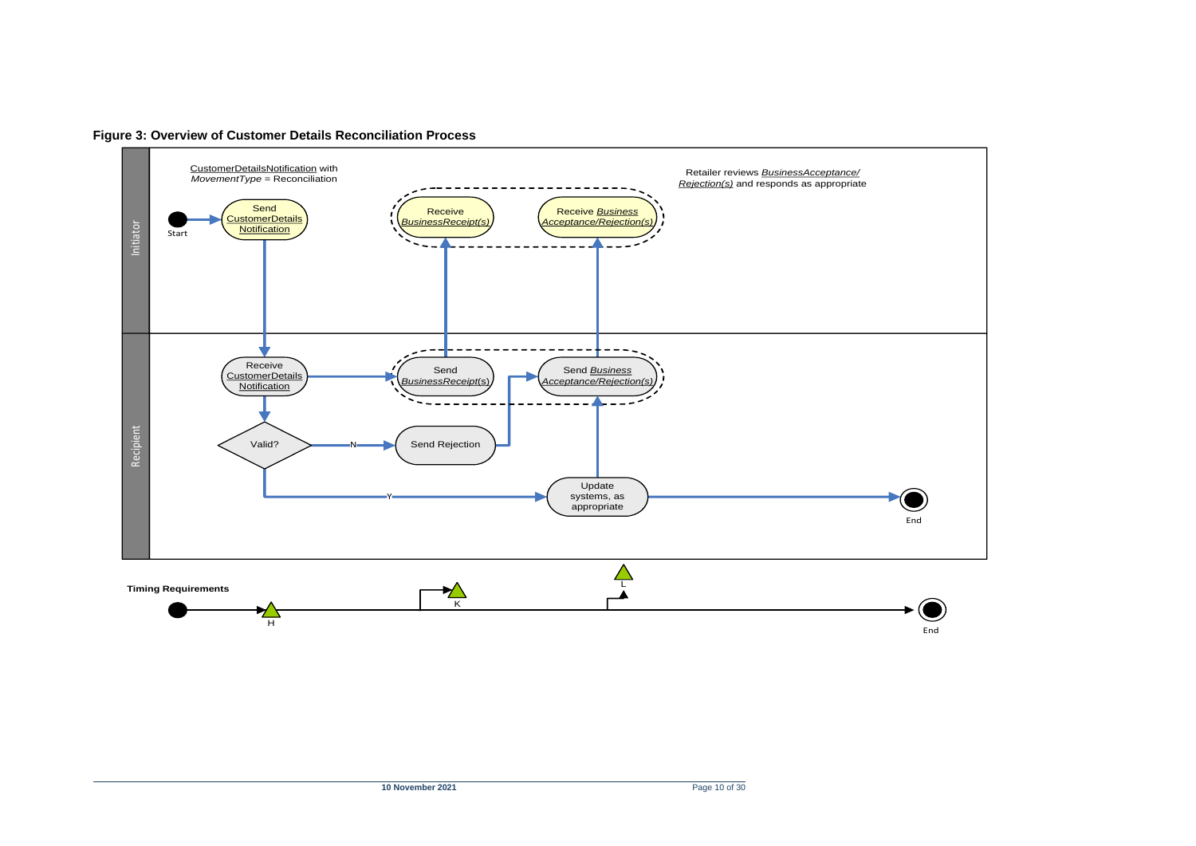<span id="page-9-0"></span>

**Figure 3: Overview of Customer Details Reconciliation Process**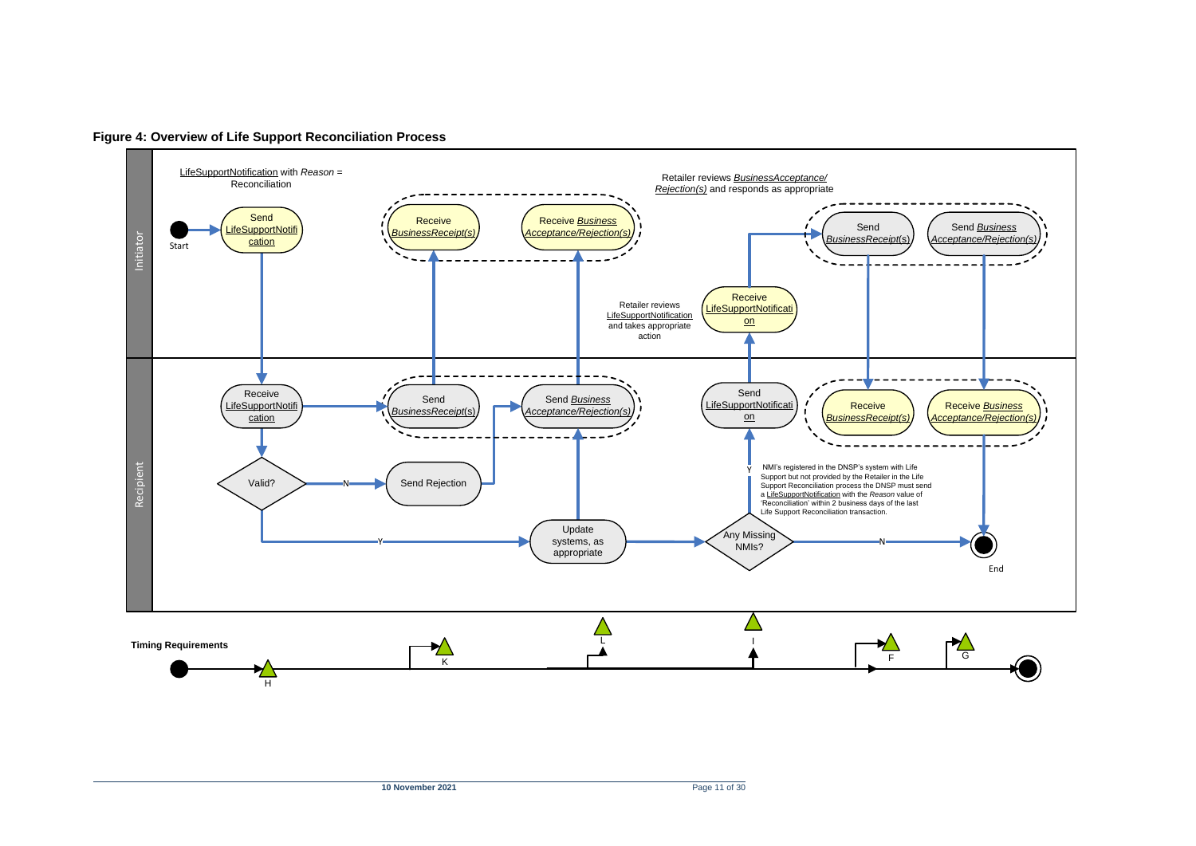<span id="page-10-0"></span>

**Figure 4: Overview of Life Support Reconciliation Process**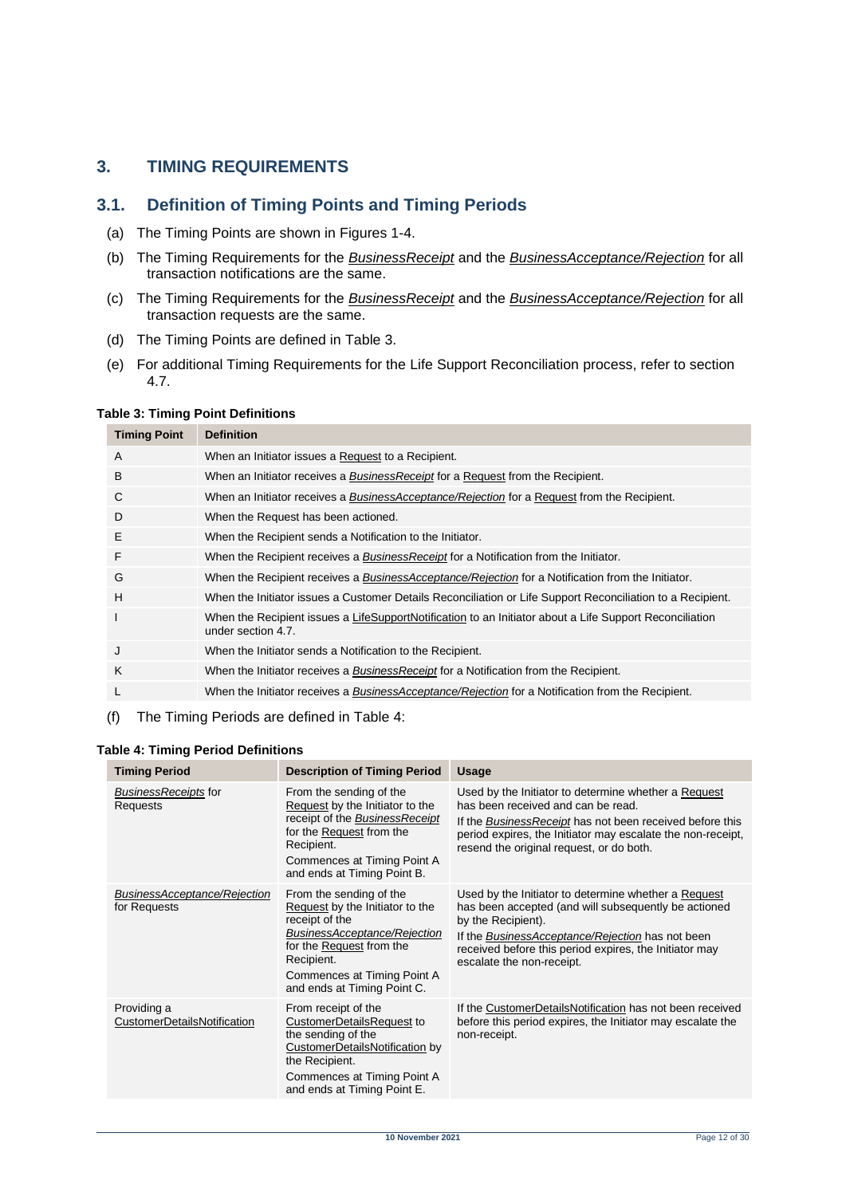### <span id="page-11-0"></span>**3. TIMING REQUIREMENTS**

#### <span id="page-11-1"></span>**3.1. Definition of Timing Points and Timing Periods**

- (a) The Timing Points are shown in Figures 1-4.
- (b) The Timing Requirements for the *BusinessReceipt* and the *BusinessAcceptance/Rejection* for all transaction notifications are the same.
- (c) The Timing Requirements for the *BusinessReceipt* and the *BusinessAcceptance/Rejection* for all transaction requests are the same.
- (d) The Timing Points are defined in [Table 3.](#page-11-2)
- (e) For additional Timing Requirements for the Life Support Reconciliation process, refer to section 4.7.

#### <span id="page-11-2"></span>**Table 3: Timing Point Definitions**

| <b>Timing Point</b> | <b>Definition</b>                                                                                                             |
|---------------------|-------------------------------------------------------------------------------------------------------------------------------|
| A                   | When an Initiator issues a Request to a Recipient.                                                                            |
| B                   | When an Initiator receives a <i>BusinessReceipt</i> for a Request from the Recipient.                                         |
| C                   | When an Initiator receives a <i>BusinessAcceptance/Rejection</i> for a Request from the Recipient.                            |
| D                   | When the Request has been actioned.                                                                                           |
| E                   | When the Recipient sends a Notification to the Initiator.                                                                     |
| F                   | When the Recipient receives a <b>BusinessReceipt</b> for a Notification from the Initiator.                                   |
| G                   | When the Recipient receives a BusinessAcceptance/Rejection for a Notification from the Initiator.                             |
| H                   | When the Initiator issues a Customer Details Reconciliation or Life Support Reconciliation to a Recipient.                    |
| T                   | When the Recipient issues a LifeSupportNotification to an Initiator about a Life Support Reconciliation<br>under section 4.7. |
| J                   | When the Initiator sends a Notification to the Recipient.                                                                     |
| K                   | When the Initiator receives a <i>BusinessReceipt</i> for a Notification from the Recipient.                                   |
| L                   | When the Initiator receives a BusinessAcceptance/Rejection for a Notification from the Recipient.                             |
|                     |                                                                                                                               |

(f) The Timing Periods are defined in Table 4:

#### <span id="page-11-3"></span>**Table 4: Timing Period Definitions**

| <b>Timing Period</b>                                | <b>Description of Timing Period</b>                                                                                                                                                                                         | <b>Usage</b>                                                                                                                                                                                                                                                                  |
|-----------------------------------------------------|-----------------------------------------------------------------------------------------------------------------------------------------------------------------------------------------------------------------------------|-------------------------------------------------------------------------------------------------------------------------------------------------------------------------------------------------------------------------------------------------------------------------------|
| <b>BusinessReceipts for</b><br>Requests             | From the sending of the<br>Request by the Initiator to the<br>receipt of the BusinessReceipt<br>for the Request from the<br>Recipient.<br>Commences at Timing Point A<br>and ends at Timing Point B.                        | Used by the Initiator to determine whether a Request<br>has been received and can be read.<br>If the Business Receipt has not been received before this<br>period expires, the Initiator may escalate the non-receipt,<br>resend the original request, or do both.            |
| <b>BusinessAcceptance/Rejection</b><br>for Requests | From the sending of the<br>Request by the Initiator to the<br>receipt of the<br><b>BusinessAcceptance/Rejection</b><br>for the Request from the<br>Recipient.<br>Commences at Timing Point A<br>and ends at Timing Point C. | Used by the Initiator to determine whether a Request<br>has been accepted (and will subsequently be actioned<br>by the Recipient).<br>If the BusinessAcceptance/Rejection has not been<br>received before this period expires, the Initiator may<br>escalate the non-receipt. |
| Providing a<br>CustomerDetailsNotification          | From receipt of the<br><b>CustomerDetailsRequest to</b><br>the sending of the<br>CustomerDetailsNotification by<br>the Recipient.<br>Commences at Timing Point A<br>and ends at Timing Point E.                             | If the CustomerDetailsNotification has not been received<br>before this period expires, the Initiator may escalate the<br>non-receipt.                                                                                                                                        |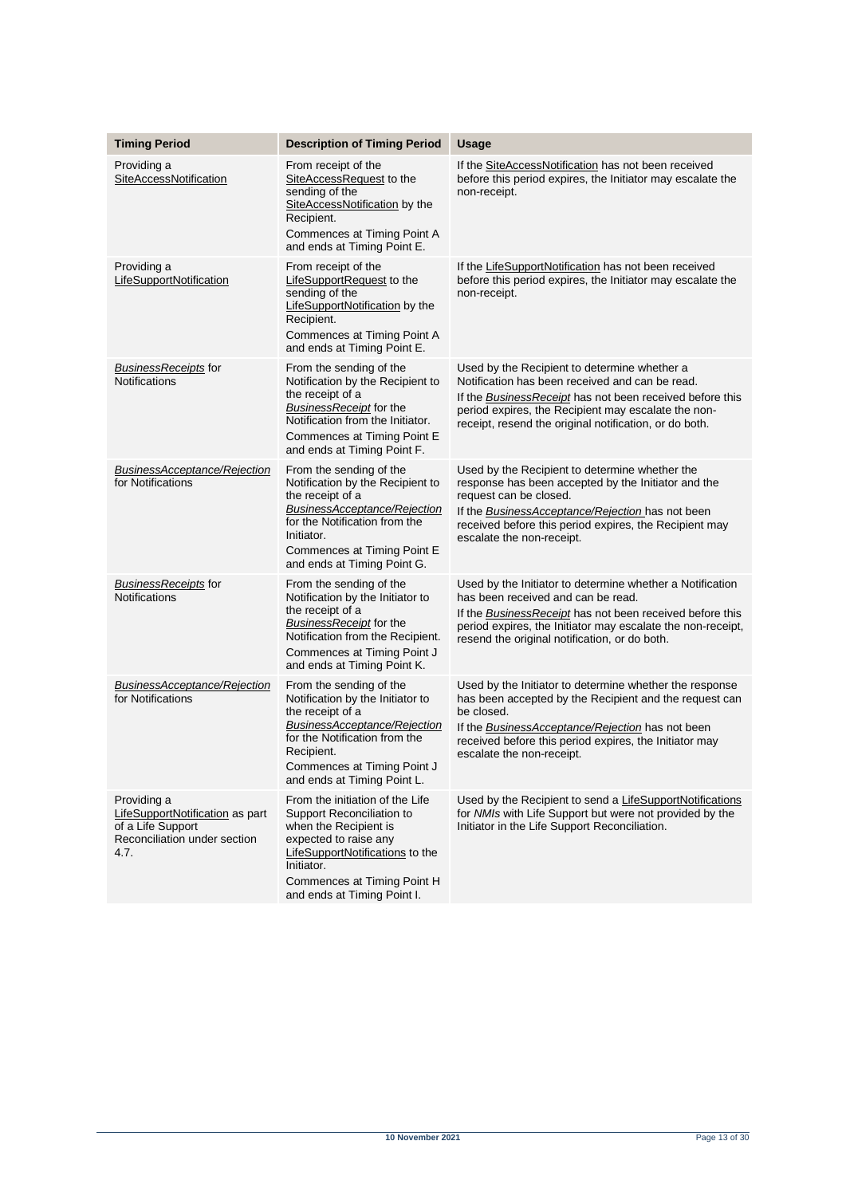| <b>Timing Period</b>                                                                                        | <b>Description of Timing Period</b>                                                                                                                                                                                           | <b>Usage</b>                                                                                                                                                                                                                                                                      |
|-------------------------------------------------------------------------------------------------------------|-------------------------------------------------------------------------------------------------------------------------------------------------------------------------------------------------------------------------------|-----------------------------------------------------------------------------------------------------------------------------------------------------------------------------------------------------------------------------------------------------------------------------------|
| Providing a                                                                                                 |                                                                                                                                                                                                                               |                                                                                                                                                                                                                                                                                   |
| SiteAccessNotification                                                                                      | From receipt of the<br>SiteAccessRequest to the<br>sending of the<br>SiteAccessNotification by the<br>Recipient.<br>Commences at Timing Point A<br>and ends at Timing Point E.                                                | If the SiteAccessNotification has not been received<br>before this period expires, the Initiator may escalate the<br>non-receipt.                                                                                                                                                 |
| Providing a<br>LifeSupportNotification                                                                      | From receipt of the<br>LifeSupportRequest to the<br>sending of the<br>LifeSupportNotification by the<br>Recipient.<br>Commences at Timing Point A<br>and ends at Timing Point E.                                              | If the LifeSupportNotification has not been received<br>before this period expires, the Initiator may escalate the<br>non-receipt.                                                                                                                                                |
| <b>BusinessReceipts for</b><br><b>Notifications</b>                                                         | From the sending of the<br>Notification by the Recipient to<br>the receipt of a<br>BusinessReceipt for the<br>Notification from the Initiator.<br>Commences at Timing Point E<br>and ends at Timing Point F.                  | Used by the Recipient to determine whether a<br>Notification has been received and can be read.<br>If the Business Receipt has not been received before this<br>period expires, the Recipient may escalate the non-<br>receipt, resend the original notification, or do both.     |
| BusinessAcceptance/Rejection<br>for Notifications                                                           | From the sending of the<br>Notification by the Recipient to<br>the receipt of a<br>BusinessAcceptance/Rejection<br>for the Notification from the<br>Initiator.<br>Commences at Timing Point E<br>and ends at Timing Point G.  | Used by the Recipient to determine whether the<br>response has been accepted by the Initiator and the<br>request can be closed.<br>If the <b>BusinessAcceptance/Rejection</b> has not been<br>received before this period expires, the Recipient may<br>escalate the non-receipt. |
| <b>BusinessReceipts for</b><br><b>Notifications</b>                                                         | From the sending of the<br>Notification by the Initiator to<br>the receipt of a<br>BusinessReceipt for the<br>Notification from the Recipient.<br>Commences at Timing Point J<br>and ends at Timing Point K.                  | Used by the Initiator to determine whether a Notification<br>has been received and can be read.<br>If the Business Receipt has not been received before this<br>period expires, the Initiator may escalate the non-receipt,<br>resend the original notification, or do both.      |
| BusinessAcceptance/Rejection<br>for Notifications                                                           | From the sending of the<br>Notification by the Initiator to<br>the receipt of a<br>BusinessAcceptance/Rejection<br>for the Notification from the<br>Recipient.<br>Commences at Timing Point J<br>and ends at Timing Point L.  | Used by the Initiator to determine whether the response<br>has been accepted by the Recipient and the request can<br>be closed.<br>If the <b>BusinessAcceptance/Rejection</b> has not been<br>received before this period expires, the Initiator may<br>escalate the non-receipt. |
| Providing a<br>LifeSupportNotification as part<br>of a Life Support<br>Reconciliation under section<br>4.7. | From the initiation of the Life<br>Support Reconciliation to<br>when the Recipient is<br>expected to raise any<br>LifeSupportNotifications to the<br>Initiator.<br>Commences at Timing Point H<br>and ends at Timing Point I. | Used by the Recipient to send a LifeSupportNotifications<br>for NMIs with Life Support but were not provided by the<br>Initiator in the Life Support Reconciliation.                                                                                                              |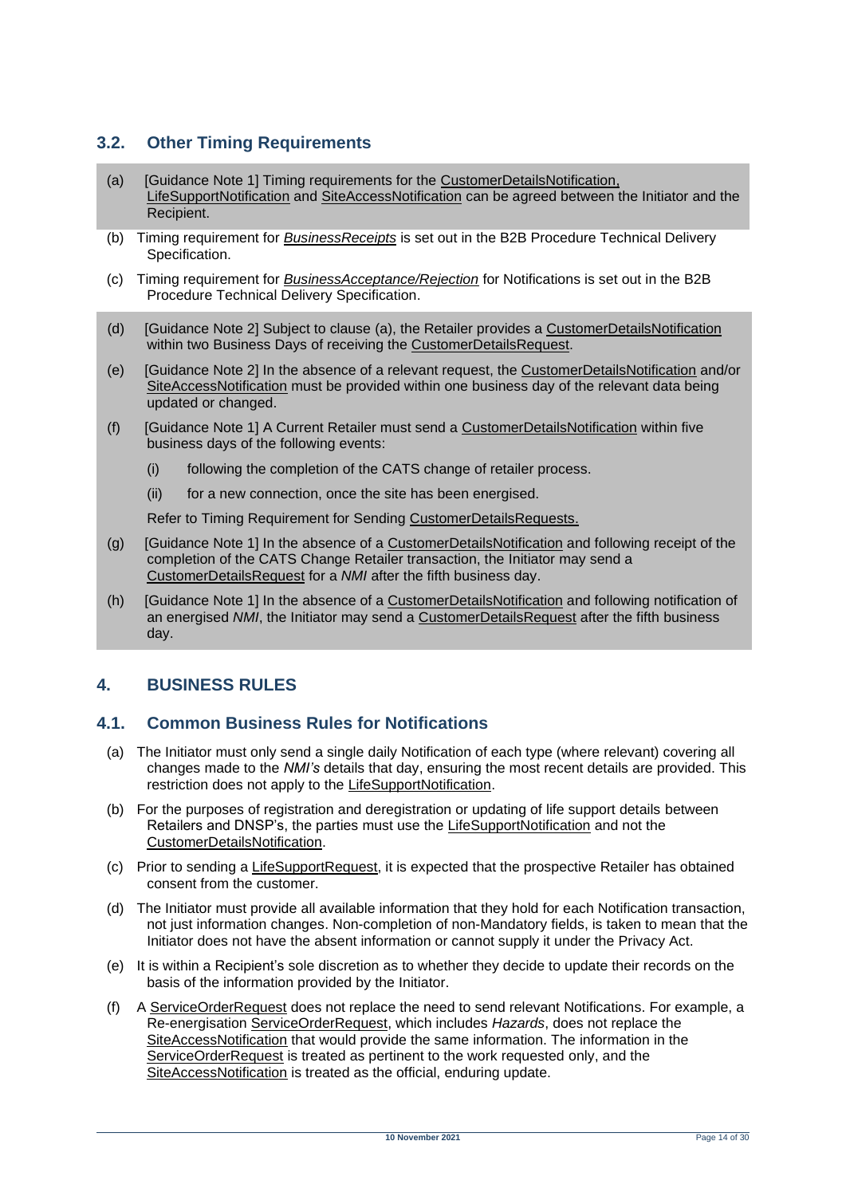### <span id="page-13-0"></span>**3.2. Other Timing Requirements**

- <span id="page-13-3"></span>(a) [Guidance Note 1] Timing requirements for the CustomerDetailsNotification, LifeSupportNotification and SiteAccessNotification can be agreed between the Initiator and the Recipient.
- (b) Timing requirement for *BusinessReceipts* is set out in the B2B Procedure Technical Delivery Specification.
- (c) Timing requirement for *BusinessAcceptance/Rejection* for Notifications is set out in the B2B Procedure Technical Delivery Specification.
- (d) [Guidance Note 2] Subject to clause [\(a\),](#page-13-3) the Retailer provides a CustomerDetailsNotification within two Business Days of receiving the CustomerDetailsRequest.
- (e) [Guidance Note 2] In the absence of a relevant request, the CustomerDetailsNotification and/or SiteAccessNotification must be provided within one business day of the relevant data being updated or changed.
- (f) [Guidance Note 1] A Current Retailer must send a CustomerDetailsNotification within five business days of the following events:
	- (i) following the completion of the CATS change of retailer process.
	- (ii) for a new connection, once the site has been energised.

Refer to Timing Requirement for Sending CustomerDetailsRequests.

- (g) [Guidance Note 1] In the absence of a CustomerDetailsNotification and following receipt of the completion of the CATS Change Retailer transaction, the Initiator may send a CustomerDetailsRequest for a *NMI* after the fifth business day.
- (h) [Guidance Note 1] In the absence of a CustomerDetailsNotification and following notification of an energised *NMI*, the Initiator may send a CustomerDetailsRequest after the fifth business day.

### <span id="page-13-1"></span>**4. BUSINESS RULES**

#### <span id="page-13-2"></span>**4.1. Common Business Rules for Notifications**

- (a) The Initiator must only send a single daily Notification of each type (where relevant) covering all changes made to the *NMI's* details that day, ensuring the most recent details are provided. This restriction does not apply to the LifeSupportNotification.
- (b) For the purposes of registration and deregistration or updating of life support details between Retailers and DNSP's, the parties must use the LifeSupportNotification and not the CustomerDetailsNotification.
- (c) Prior to sending a LifeSupportRequest, it is expected that the prospective Retailer has obtained consent from the customer.
- (d) The Initiator must provide all available information that they hold for each Notification transaction, not just information changes. Non-completion of non-Mandatory fields, is taken to mean that the Initiator does not have the absent information or cannot supply it under the Privacy Act.
- (e) It is within a Recipient's sole discretion as to whether they decide to update their records on the basis of the information provided by the Initiator.
- (f) A ServiceOrderRequest does not replace the need to send relevant Notifications. For example, a Re-energisation ServiceOrderRequest, which includes *Hazards*, does not replace the SiteAccessNotification that would provide the same information. The information in the ServiceOrderRequest is treated as pertinent to the work requested only, and the SiteAccessNotification is treated as the official, enduring update.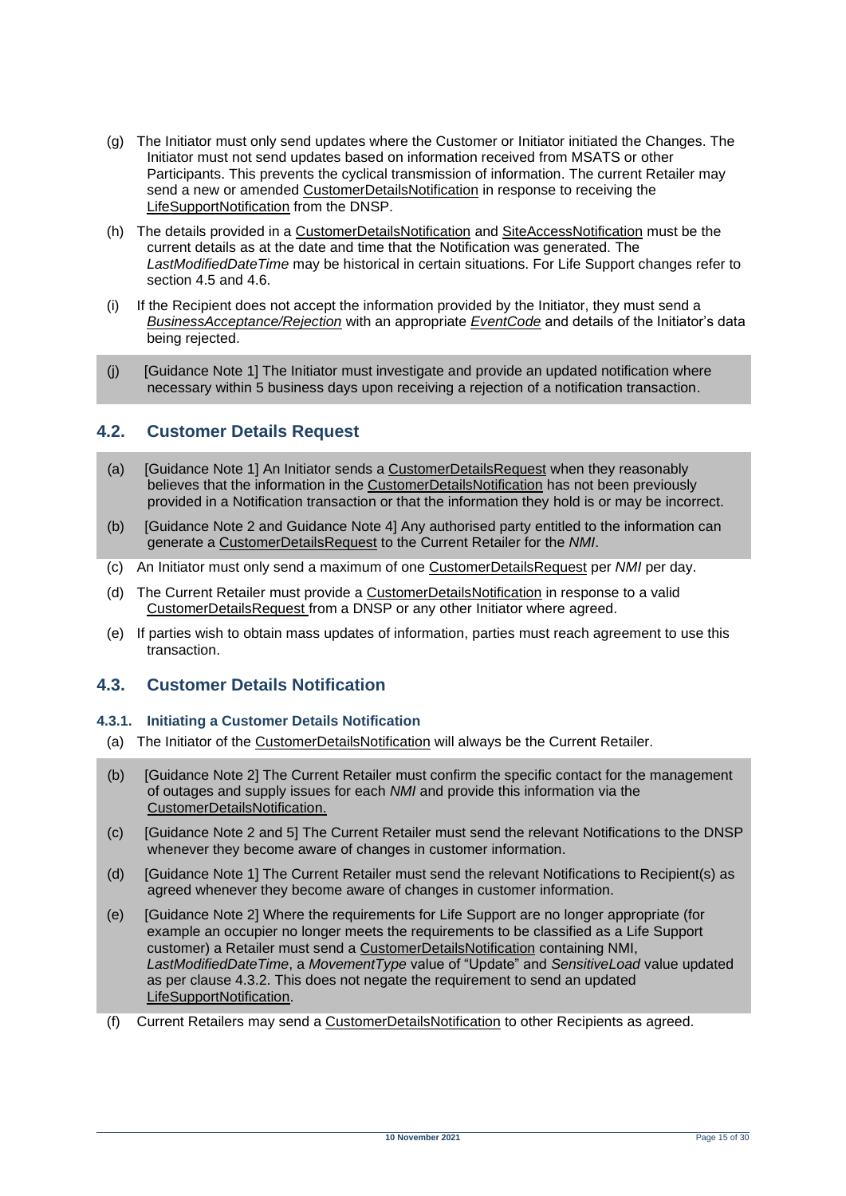- (g) The Initiator must only send updates where the Customer or Initiator initiated the Changes. The Initiator must not send updates based on information received from MSATS or other Participants. This prevents the cyclical transmission of information. The current Retailer may send a new or amended CustomerDetailsNotification in response to receiving the LifeSupportNotification from the DNSP.
- (h) The details provided in a CustomerDetailsNotification and SiteAccessNotification must be the current details as at the date and time that the Notification was generated. The *LastModifiedDateTime* may be historical in certain situations. For Life Support changes refer to section 4.5 and 4.6.
- (i) If the Recipient does not accept the information provided by the Initiator, they must send a *BusinessAcceptance/Rejection* with an appropriate *EventCode* and details of the Initiator's data being rejected.
- (j) [Guidance Note 1] The Initiator must investigate and provide an updated notification where necessary within 5 business days upon receiving a rejection of a notification transaction.

### <span id="page-14-0"></span>**4.2. Customer Details Request**

- (a) [Guidance Note 1] An Initiator sends a CustomerDetailsRequest when they reasonably believes that the information in the CustomerDetailsNotification has not been previously provided in a Notification transaction or that the information they hold is or may be incorrect.
- (b) [Guidance Note 2 and Guidance Note 4] Any authorised party entitled to the information can generate a CustomerDetailsRequest to the Current Retailer for the *NMI*.
- (c) An Initiator must only send a maximum of one CustomerDetailsRequest per *NMI* per day.
- (d) The Current Retailer must provide a CustomerDetailsNotification in response to a valid CustomerDetailsRequest from a DNSP or any other Initiator where agreed.
- (e) If parties wish to obtain mass updates of information, parties must reach agreement to use this transaction.

### <span id="page-14-1"></span>**4.3. Customer Details Notification**

#### **4.3.1. Initiating a Customer Details Notification**

- (a) The Initiator of the CustomerDetailsNotification will always be the Current Retailer.
- (b) [Guidance Note 2] The Current Retailer must confirm the specific contact for the management of outages and supply issues for each *NMI* and provide this information via the CustomerDetailsNotification.
- (c) [Guidance Note 2 and 5] The Current Retailer must send the relevant Notifications to the DNSP whenever they become aware of changes in customer information.
- (d) [Guidance Note 1] The Current Retailer must send the relevant Notifications to Recipient(s) as agreed whenever they become aware of changes in customer information.
- (e) [Guidance Note 2] Where the requirements for Life Support are no longer appropriate (for example an occupier no longer meets the requirements to be classified as a Life Support customer) a Retailer must send a CustomerDetailsNotification containing NMI, *LastModifiedDateTime*, a *MovementType* value of "Update" and *SensitiveLoad* value updated as per clause 4.3.2. This does not negate the requirement to send an updated LifeSupportNotification.
- (f) Current Retailers may send a CustomerDetailsNotification to other Recipients as agreed.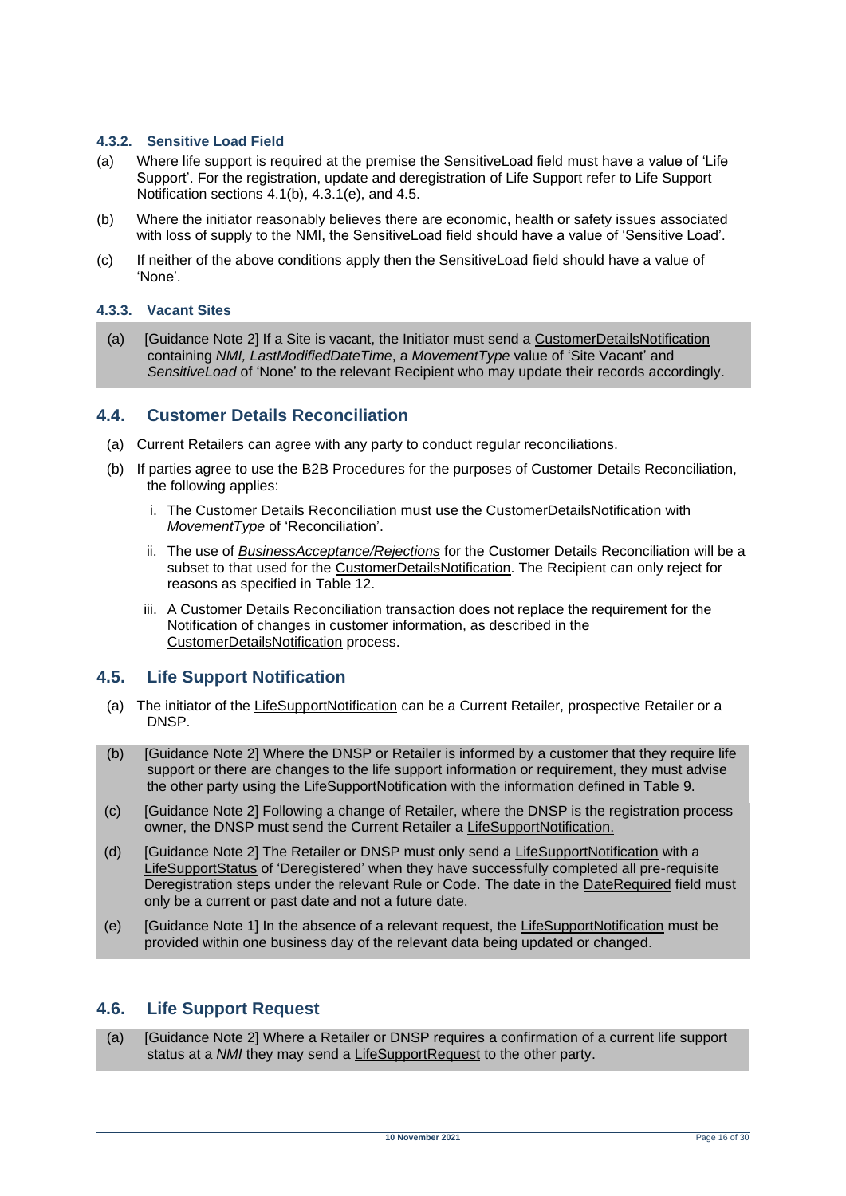#### **4.3.2. Sensitive Load Field**

- (a) Where life support is required at the premise the SensitiveLoad field must have a value of 'Life Support'. For the registration, update and deregistration of Life Support refer to Life Support Notification sections 4.1(b), 4.3.1(e), and 4.5.
- (b) Where the initiator reasonably believes there are economic, health or safety issues associated with loss of supply to the NMI, the SensitiveLoad field should have a value of 'Sensitive Load'.
- (c) If neither of the above conditions apply then the SensitiveLoad field should have a value of 'None'.

#### **4.3.3. Vacant Sites**

(a) [Guidance Note 2] If a Site is vacant, the Initiator must send a CustomerDetailsNotification containing *NMI, LastModifiedDateTime*, a *MovementType* value of 'Site Vacant' and *SensitiveLoad* of 'None' to the relevant Recipient who may update their records accordingly.

#### <span id="page-15-0"></span>**4.4. Customer Details Reconciliation**

- (a) Current Retailers can agree with any party to conduct regular reconciliations.
- (b) If parties agree to use the B2B Procedures for the purposes of Customer Details Reconciliation, the following applies:
	- i. The Customer Details Reconciliation must use the CustomerDetailsNotification with *MovementType* of 'Reconciliation'.
	- ii. The use of *BusinessAcceptance/Rejections* for the Customer Details Reconciliation will be a subset to that used for the CustomerDetailsNotification. The Recipient can only reject for reasons as specified in Table 12.
	- iii. A Customer Details Reconciliation transaction does not replace the requirement for the Notification of changes in customer information, as described in the CustomerDetailsNotification process.

#### <span id="page-15-1"></span>**4.5. Life Support Notification**

- (a) The initiator of the LifeSupportNotification can be a Current Retailer, prospective Retailer or a DNSP.
- (b) [Guidance Note 2] Where the DNSP or Retailer is informed by a customer that they require life support or there are changes to the life support information or requirement, they must advise the other party using the LifeSupportNotification with the information defined in Table 9.
- (c) [Guidance Note 2] Following a change of Retailer, where the DNSP is the registration process owner, the DNSP must send the Current Retailer a LifeSupportNotification.
- (d) [Guidance Note 2] The Retailer or DNSP must only send a LifeSupportNotification with a LifeSupportStatus of 'Deregistered' when they have successfully completed all pre-requisite Deregistration steps under the relevant Rule or Code. The date in the DateRequired field must only be a current or past date and not a future date.
- (e) [Guidance Note 1] In the absence of a relevant request, the LifeSupportNotification must be provided within one business day of the relevant data being updated or changed.

#### <span id="page-15-2"></span>**4.6. Life Support Request**

(a) [Guidance Note 2] Where a Retailer or DNSP requires a confirmation of a current life support status at a *NMI* they may send a LifeSupportRequest to the other party.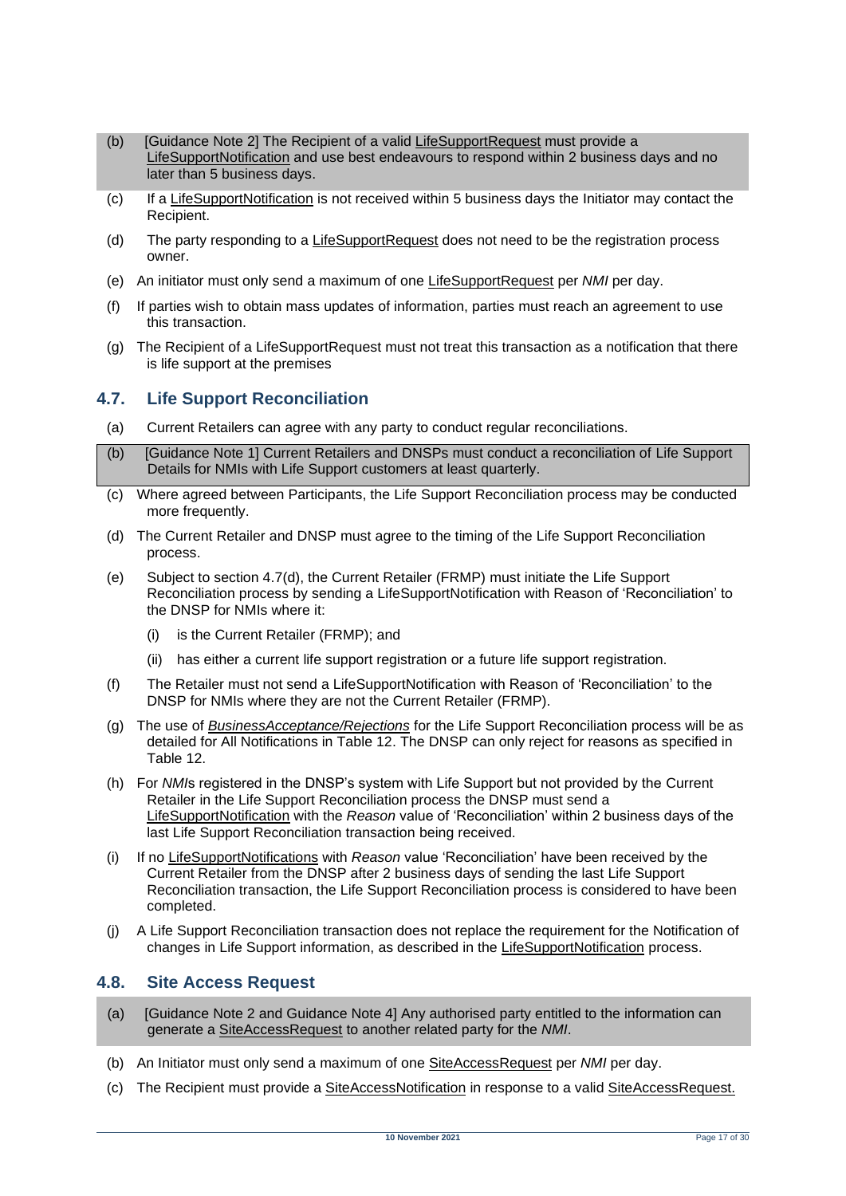- (b) [Guidance Note 2] The Recipient of a valid LifeSupportRequest must provide a LifeSupportNotification and use best endeavours to respond within 2 business days and no later than 5 business days.
- (c) If a LifeSupportNotification is not received within 5 business days the Initiator may contact the Recipient.
- (d) The party responding to a LifeSupportRequest does not need to be the registration process owner.
- (e) An initiator must only send a maximum of one LifeSupportRequest per *NMI* per day.
- (f) If parties wish to obtain mass updates of information, parties must reach an agreement to use this transaction.
- (g) The Recipient of a LifeSupportRequest must not treat this transaction as a notification that there is life support at the premises

#### <span id="page-16-0"></span>**4.7. Life Support Reconciliation**

- (a) Current Retailers can agree with any party to conduct regular reconciliations.
- (b) [Guidance Note 1] Current Retailers and DNSPs must conduct a reconciliation of Life Support Details for NMIs with Life Support customers at least quarterly.
- (c) Where agreed between Participants, the Life Support Reconciliation process may be conducted more frequently.
- (d) The Current Retailer and DNSP must agree to the timing of the Life Support Reconciliation process.
- (e) Subject to section 4.7(d), the Current Retailer (FRMP) must initiate the Life Support Reconciliation process by sending a LifeSupportNotification with Reason of 'Reconciliation' to the DNSP for NMIs where it:
	- (i) is the Current Retailer (FRMP); and
	- (ii) has either a current life support registration or a future life support registration.
- (f) The Retailer must not send a LifeSupportNotification with Reason of 'Reconciliation' to the DNSP for NMIs where they are not the Current Retailer (FRMP).
- (g) The use of *BusinessAcceptance/Rejections* for the Life Support Reconciliation process will be as detailed for All Notifications in Table 12. The DNSP can only reject for reasons as specified in Table 12.
- (h) For *NMI*s registered in the DNSP's system with Life Support but not provided by the Current Retailer in the Life Support Reconciliation process the DNSP must send a LifeSupportNotification with the *Reason* value of 'Reconciliation' within 2 business days of the last Life Support Reconciliation transaction being received.
- (i) If no LifeSupportNotifications with *Reason* value 'Reconciliation' have been received by the Current Retailer from the DNSP after 2 business days of sending the last Life Support Reconciliation transaction, the Life Support Reconciliation process is considered to have been completed.
- (j) A Life Support Reconciliation transaction does not replace the requirement for the Notification of changes in Life Support information, as described in the LifeSupportNotification process.

#### <span id="page-16-1"></span>**4.8. Site Access Request**

- (a) [Guidance Note 2 and Guidance Note 4] Any authorised party entitled to the information can generate a SiteAccessRequest to another related party for the *NMI*.
- (b) An Initiator must only send a maximum of one SiteAccessRequest per *NMI* per day.
- (c) The Recipient must provide a SiteAccessNotification in response to a valid SiteAccessRequest.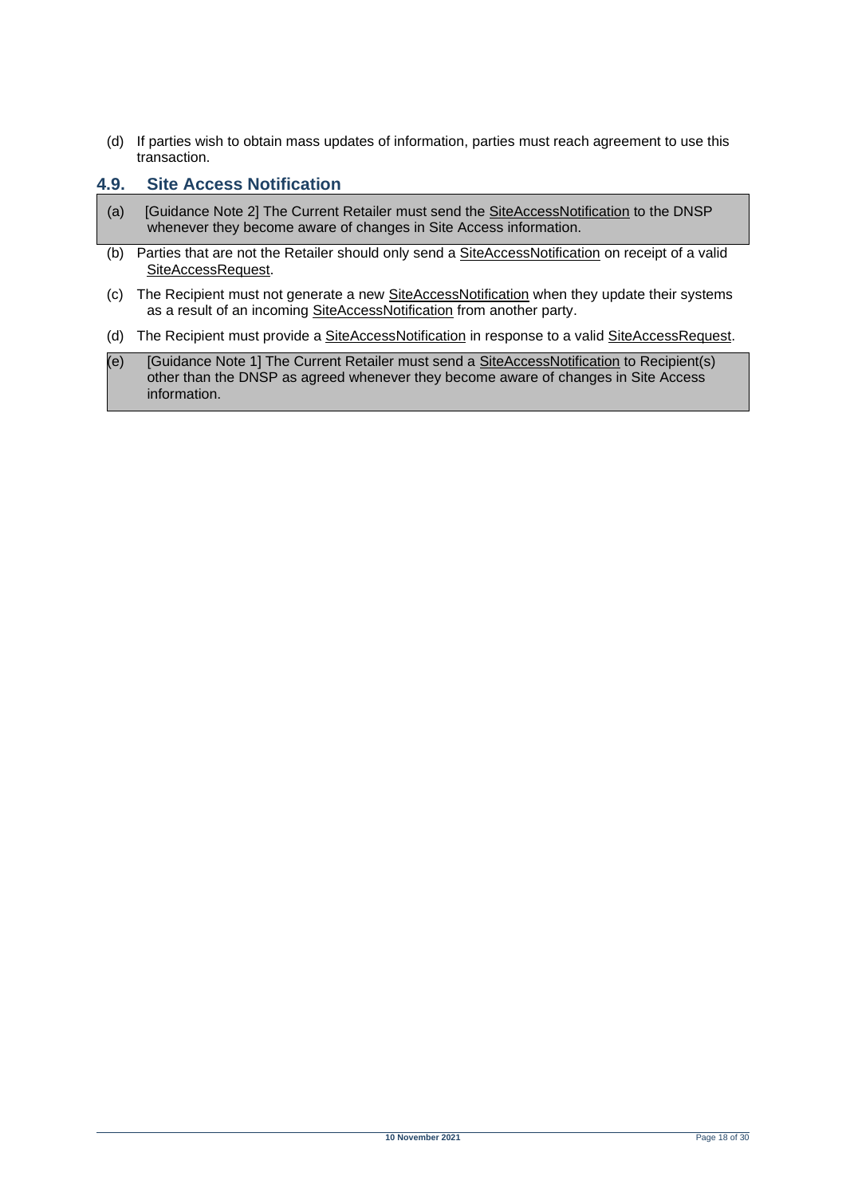(d) If parties wish to obtain mass updates of information, parties must reach agreement to use this transaction.

#### <span id="page-17-0"></span>**4.9. Site Access Notification**

- (a) [Guidance Note 2] The Current Retailer must send the SiteAccessNotification to the DNSP whenever they become aware of changes in Site Access information.
- (b) Parties that are not the Retailer should only send a SiteAccessNotification on receipt of a valid SiteAccessRequest.
- (c) The Recipient must not generate a new SiteAccessNotification when they update their systems as a result of an incoming SiteAccessNotification from another party.
- (d) The Recipient must provide a SiteAccessNotification in response to a valid SiteAccessRequest.
- (e) [Guidance Note 1] The Current Retailer must send a SiteAccessNotification to Recipient(s) other than the DNSP as agreed whenever they become aware of changes in Site Access information.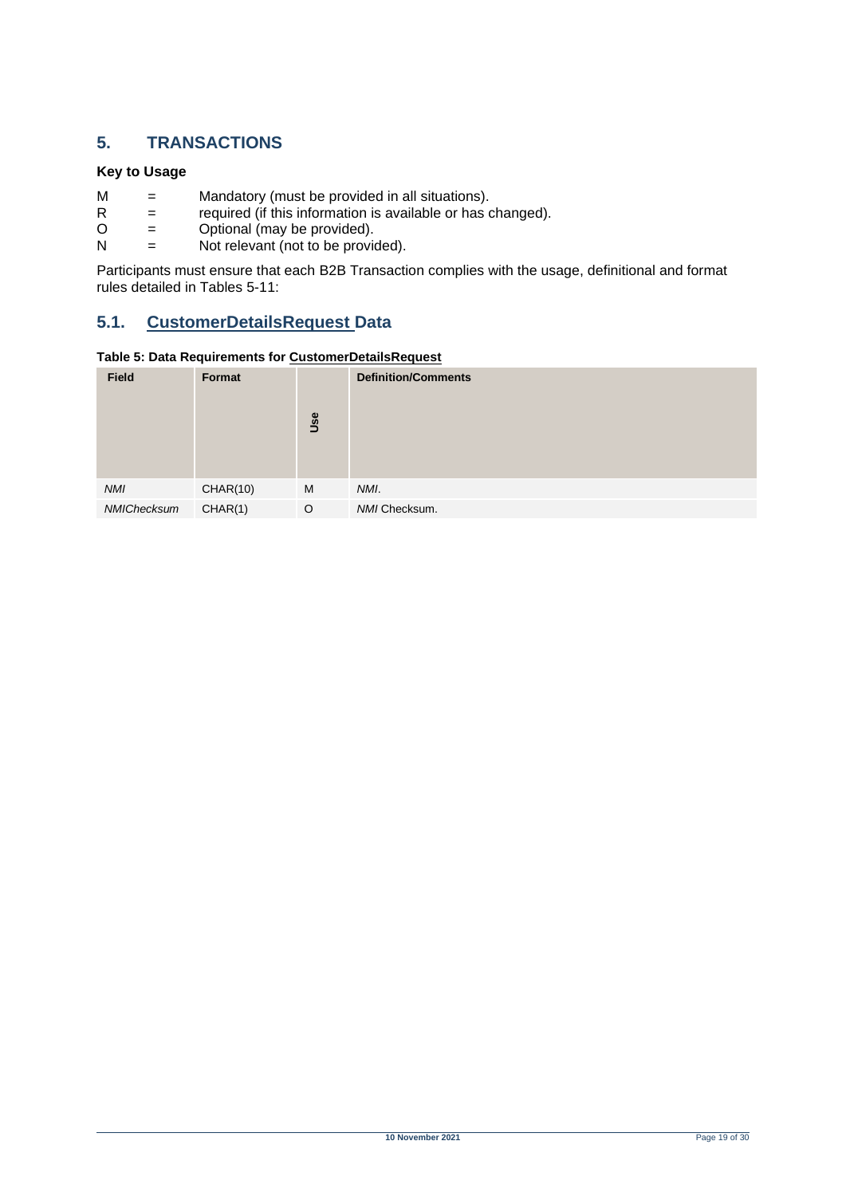### <span id="page-18-0"></span>**5. TRANSACTIONS**

#### **Key to Usage**

- $M =$  Mandatory (must be provided in all situations).<br>R = required (if this information is available or has d
- $R =$  required (if this information is available or has changed).<br>  $Q =$  Optional (may be provided).
- $O =$  Optional (may be provided).<br>  $N =$  Not relevant (not to be provided).
- Not relevant (not to be provided).

Participants must ensure that each B2B Transaction complies with the usage, definitional and format rules detailed in Tables 5-11:

### <span id="page-18-1"></span>**5.1. CustomerDetailsRequest Data**

#### <span id="page-18-2"></span>**Table 5: Data Requirements for CustomerDetailsRequest**

| <b>Field</b> | Format   | Use | <b>Definition/Comments</b> |
|--------------|----------|-----|----------------------------|
| <b>NMI</b>   | CHAR(10) | M   | NMI.                       |
| NMIChecksum  | CHAR(1)  | O   | NMI Checksum.              |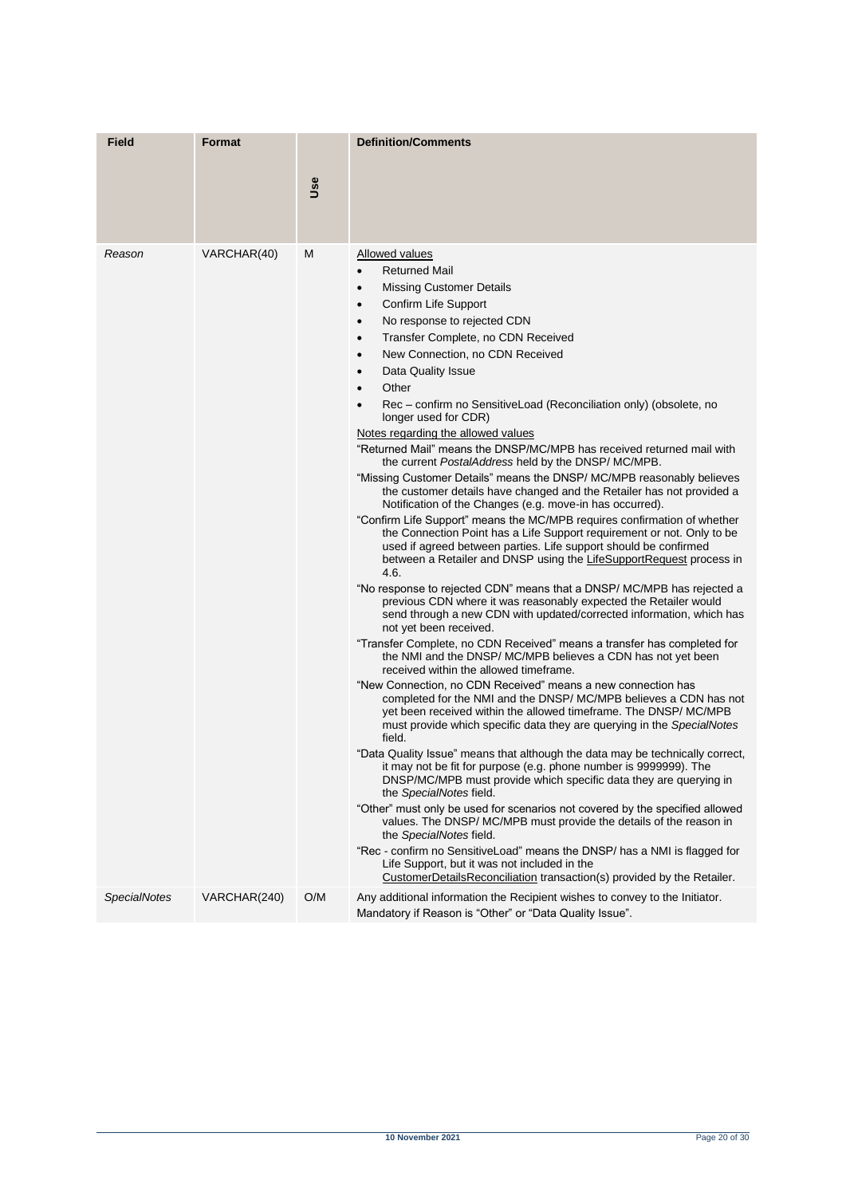| <b>Field</b>        | <b>Format</b> |     | <b>Definition/Comments</b>                                                                                                                                                                                                                                                                                                                                                                                                                                                                                                                                                                                                                                                                                                                                                                                                                                                                                                                                                                                                                                                                                                                                                                                                                                                                                                                                                                                                                                                                                                                                                                                                                                                                                                                                                                                                                                                                                                                                                                                                                                                                                                                                                                                                                                                                                                                                                                                                                                                                                                |
|---------------------|---------------|-----|---------------------------------------------------------------------------------------------------------------------------------------------------------------------------------------------------------------------------------------------------------------------------------------------------------------------------------------------------------------------------------------------------------------------------------------------------------------------------------------------------------------------------------------------------------------------------------------------------------------------------------------------------------------------------------------------------------------------------------------------------------------------------------------------------------------------------------------------------------------------------------------------------------------------------------------------------------------------------------------------------------------------------------------------------------------------------------------------------------------------------------------------------------------------------------------------------------------------------------------------------------------------------------------------------------------------------------------------------------------------------------------------------------------------------------------------------------------------------------------------------------------------------------------------------------------------------------------------------------------------------------------------------------------------------------------------------------------------------------------------------------------------------------------------------------------------------------------------------------------------------------------------------------------------------------------------------------------------------------------------------------------------------------------------------------------------------------------------------------------------------------------------------------------------------------------------------------------------------------------------------------------------------------------------------------------------------------------------------------------------------------------------------------------------------------------------------------------------------------------------------------------------------|
|                     |               | Use |                                                                                                                                                                                                                                                                                                                                                                                                                                                                                                                                                                                                                                                                                                                                                                                                                                                                                                                                                                                                                                                                                                                                                                                                                                                                                                                                                                                                                                                                                                                                                                                                                                                                                                                                                                                                                                                                                                                                                                                                                                                                                                                                                                                                                                                                                                                                                                                                                                                                                                                           |
| Reason              | VARCHAR(40)   | М   | Allowed values<br><b>Returned Mail</b><br><b>Missing Customer Details</b><br>$\bullet$<br>Confirm Life Support<br>$\bullet$<br>No response to rejected CDN<br>$\bullet$<br>Transfer Complete, no CDN Received<br>$\bullet$<br>New Connection, no CDN Received<br>$\bullet$<br>Data Quality Issue<br>$\bullet$<br>Other<br>$\bullet$<br>Rec – confirm no SensitiveLoad (Reconciliation only) (obsolete, no<br>$\bullet$<br>longer used for CDR)<br>Notes regarding the allowed values<br>"Returned Mail" means the DNSP/MC/MPB has received returned mail with<br>the current PostalAddress held by the DNSP/MC/MPB.<br>"Missing Customer Details" means the DNSP/ MC/MPB reasonably believes<br>the customer details have changed and the Retailer has not provided a<br>Notification of the Changes (e.g. move-in has occurred).<br>"Confirm Life Support" means the MC/MPB requires confirmation of whether<br>the Connection Point has a Life Support requirement or not. Only to be<br>used if agreed between parties. Life support should be confirmed<br>between a Retailer and DNSP using the LifeSupportRequest process in<br>4.6.<br>"No response to rejected CDN" means that a DNSP/ MC/MPB has rejected a<br>previous CDN where it was reasonably expected the Retailer would<br>send through a new CDN with updated/corrected information, which has<br>not yet been received.<br>"Transfer Complete, no CDN Received" means a transfer has completed for<br>the NMI and the DNSP/MC/MPB believes a CDN has not yet been<br>received within the allowed timeframe.<br>"New Connection, no CDN Received" means a new connection has<br>completed for the NMI and the DNSP/ MC/MPB believes a CDN has not<br>yet been received within the allowed timeframe. The DNSP/MC/MPB<br>must provide which specific data they are querying in the SpecialNotes<br>field.<br>"Data Quality Issue" means that although the data may be technically correct,<br>it may not be fit for purpose (e.g. phone number is 99999999). The<br>DNSP/MC/MPB must provide which specific data they are querying in<br>the SpecialNotes field.<br>"Other" must only be used for scenarios not covered by the specified allowed<br>values. The DNSP/ MC/MPB must provide the details of the reason in<br>the SpecialNotes field.<br>"Rec - confirm no SensitiveLoad" means the DNSP/ has a NMI is flagged for<br>Life Support, but it was not included in the<br>CustomerDetailsReconciliation transaction(s) provided by the Retailer. |
| <b>SpecialNotes</b> | VARCHAR(240)  | O/M | Any additional information the Recipient wishes to convey to the Initiator.<br>Mandatory if Reason is "Other" or "Data Quality Issue".                                                                                                                                                                                                                                                                                                                                                                                                                                                                                                                                                                                                                                                                                                                                                                                                                                                                                                                                                                                                                                                                                                                                                                                                                                                                                                                                                                                                                                                                                                                                                                                                                                                                                                                                                                                                                                                                                                                                                                                                                                                                                                                                                                                                                                                                                                                                                                                    |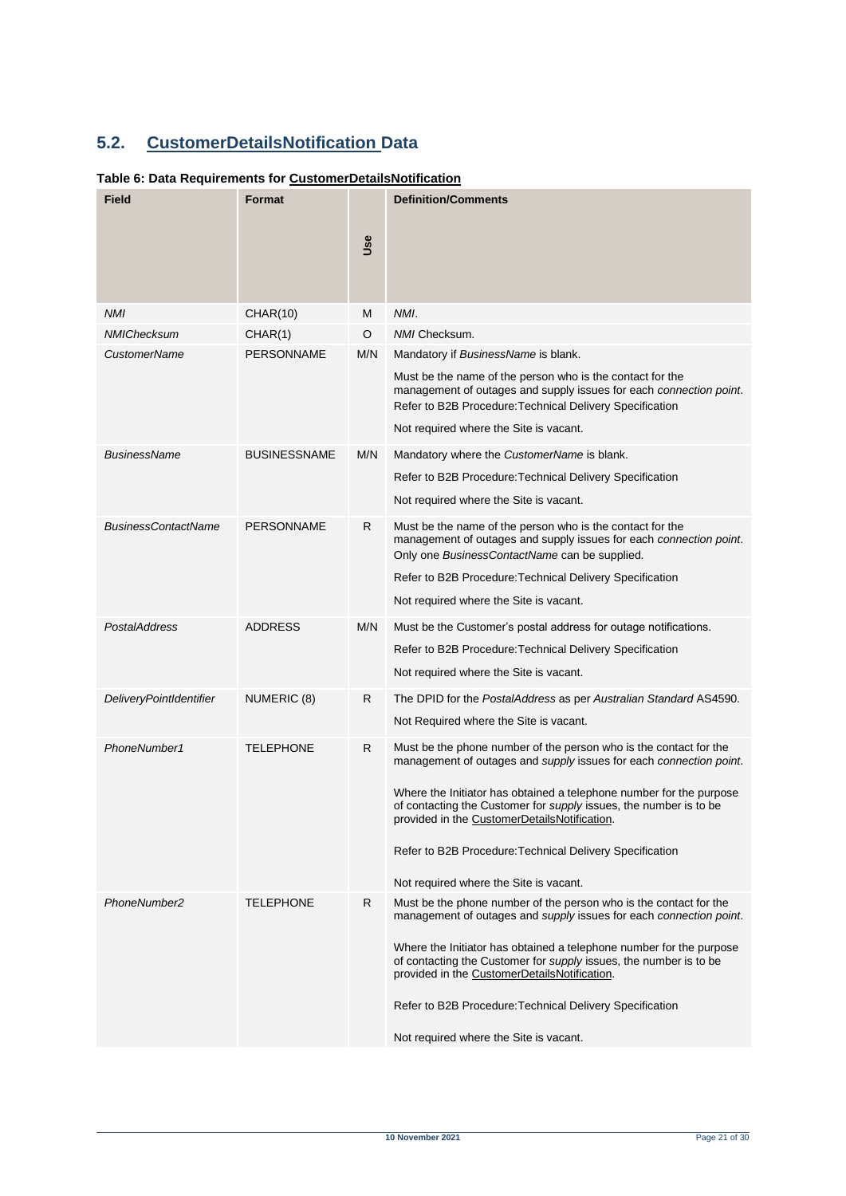# <span id="page-20-0"></span>**5.2. CustomerDetailsNotification Data**

### <span id="page-20-1"></span>**Table 6: Data Requirements for CustomerDetailsNotification**

| Field                          | <b>Format</b>       |     | <b>Definition/Comments</b>                                                                                                                                                                  |
|--------------------------------|---------------------|-----|---------------------------------------------------------------------------------------------------------------------------------------------------------------------------------------------|
|                                |                     | Use |                                                                                                                                                                                             |
| <b>NMI</b>                     | <b>CHAR(10)</b>     | M   | NMI.                                                                                                                                                                                        |
| NMIChecksum                    | CHAR(1)             | O   | NMI Checksum.                                                                                                                                                                               |
| <b>CustomerName</b>            | PERSONNAME          | M/N | Mandatory if BusinessName is blank.                                                                                                                                                         |
|                                |                     |     | Must be the name of the person who is the contact for the<br>management of outages and supply issues for each connection point.<br>Refer to B2B Procedure: Technical Delivery Specification |
|                                |                     |     | Not required where the Site is vacant.                                                                                                                                                      |
| BusinessName                   | <b>BUSINESSNAME</b> | M/N | Mandatory where the CustomerName is blank.                                                                                                                                                  |
|                                |                     |     | Refer to B2B Procedure: Technical Delivery Specification                                                                                                                                    |
|                                |                     |     | Not required where the Site is vacant.                                                                                                                                                      |
| <b>BusinessContactName</b>     | <b>PERSONNAME</b>   | R   | Must be the name of the person who is the contact for the<br>management of outages and supply issues for each connection point.<br>Only one BusinessContactName can be supplied.            |
|                                |                     |     | Refer to B2B Procedure: Technical Delivery Specification                                                                                                                                    |
|                                |                     |     | Not required where the Site is vacant.                                                                                                                                                      |
| PostalAddress                  | <b>ADDRESS</b>      | M/N | Must be the Customer's postal address for outage notifications.                                                                                                                             |
|                                |                     |     | Refer to B2B Procedure: Technical Delivery Specification                                                                                                                                    |
|                                |                     |     | Not required where the Site is vacant.                                                                                                                                                      |
| <b>DeliveryPointIdentifier</b> | NUMERIC (8)         | R   | The DPID for the PostalAddress as per Australian Standard AS4590.                                                                                                                           |
|                                |                     |     | Not Required where the Site is vacant.                                                                                                                                                      |
| PhoneNumber1                   | <b>TELEPHONE</b>    | R.  | Must be the phone number of the person who is the contact for the<br>management of outages and supply issues for each connection point.                                                     |
|                                |                     |     | Where the Initiator has obtained a telephone number for the purpose<br>of contacting the Customer for supply issues, the number is to be<br>provided in the CustomerDetailsNotification.    |
|                                |                     |     | Refer to B2B Procedure: Technical Delivery Specification                                                                                                                                    |
|                                |                     |     | Not required where the Site is vacant.                                                                                                                                                      |
| PhoneNumber2                   | <b>TELEPHONE</b>    | R   | Must be the phone number of the person who is the contact for the<br>management of outages and supply issues for each connection point.                                                     |
|                                |                     |     | Where the Initiator has obtained a telephone number for the purpose<br>of contacting the Customer for supply issues, the number is to be<br>provided in the CustomerDetailsNotification.    |
|                                |                     |     | Refer to B2B Procedure: Technical Delivery Specification                                                                                                                                    |
|                                |                     |     | Not required where the Site is vacant.                                                                                                                                                      |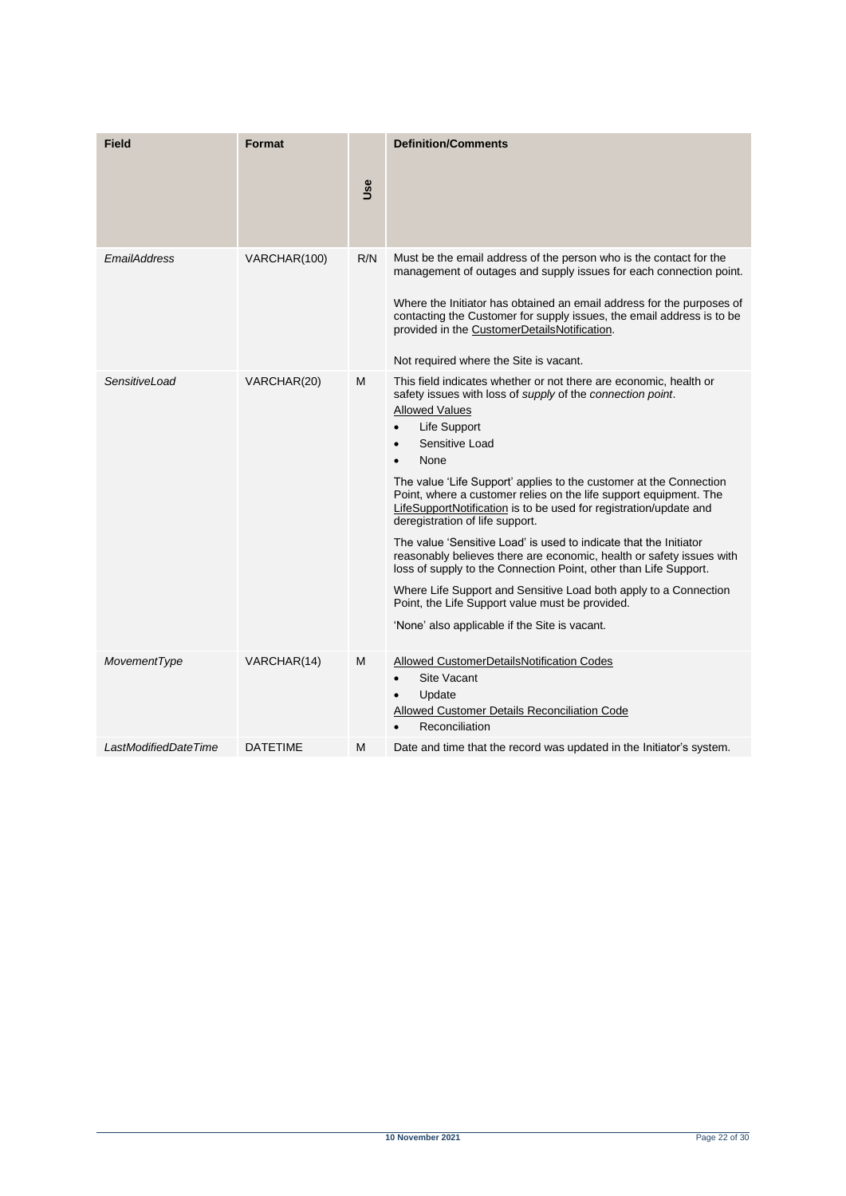| Field                | <b>Format</b>   | <b>Use</b> | <b>Definition/Comments</b>                                                                                                                                                                                                                                                                                                                                                                                                                                                                                                                                                                                                                                                                                                                                                                                                                                                              |
|----------------------|-----------------|------------|-----------------------------------------------------------------------------------------------------------------------------------------------------------------------------------------------------------------------------------------------------------------------------------------------------------------------------------------------------------------------------------------------------------------------------------------------------------------------------------------------------------------------------------------------------------------------------------------------------------------------------------------------------------------------------------------------------------------------------------------------------------------------------------------------------------------------------------------------------------------------------------------|
| EmailAddress         | VARCHAR(100)    | R/N        | Must be the email address of the person who is the contact for the<br>management of outages and supply issues for each connection point.<br>Where the Initiator has obtained an email address for the purposes of<br>contacting the Customer for supply issues, the email address is to be<br>provided in the CustomerDetailsNotification.<br>Not required where the Site is vacant.                                                                                                                                                                                                                                                                                                                                                                                                                                                                                                    |
| SensitiveLoad        | VARCHAR(20)     | M          | This field indicates whether or not there are economic, health or<br>safety issues with loss of <i>supply</i> of the <i>connection point</i> .<br><b>Allowed Values</b><br>Life Support<br>$\bullet$<br>Sensitive Load<br>$\bullet$<br>None<br>The value 'Life Support' applies to the customer at the Connection<br>Point, where a customer relies on the life support equipment. The<br>LifeSupportNotification is to be used for registration/update and<br>deregistration of life support.<br>The value 'Sensitive Load' is used to indicate that the Initiator<br>reasonably believes there are economic, health or safety issues with<br>loss of supply to the Connection Point, other than Life Support.<br>Where Life Support and Sensitive Load both apply to a Connection<br>Point, the Life Support value must be provided.<br>'None' also applicable if the Site is vacant. |
| MovementType         | VARCHAR(14)     | M          | Allowed CustomerDetailsNotification Codes<br>Site Vacant<br>Update<br><b>Allowed Customer Details Reconciliation Code</b><br>Reconciliation                                                                                                                                                                                                                                                                                                                                                                                                                                                                                                                                                                                                                                                                                                                                             |
| LastModifiedDateTime | <b>DATETIME</b> | Μ          | Date and time that the record was updated in the Initiator's system.                                                                                                                                                                                                                                                                                                                                                                                                                                                                                                                                                                                                                                                                                                                                                                                                                    |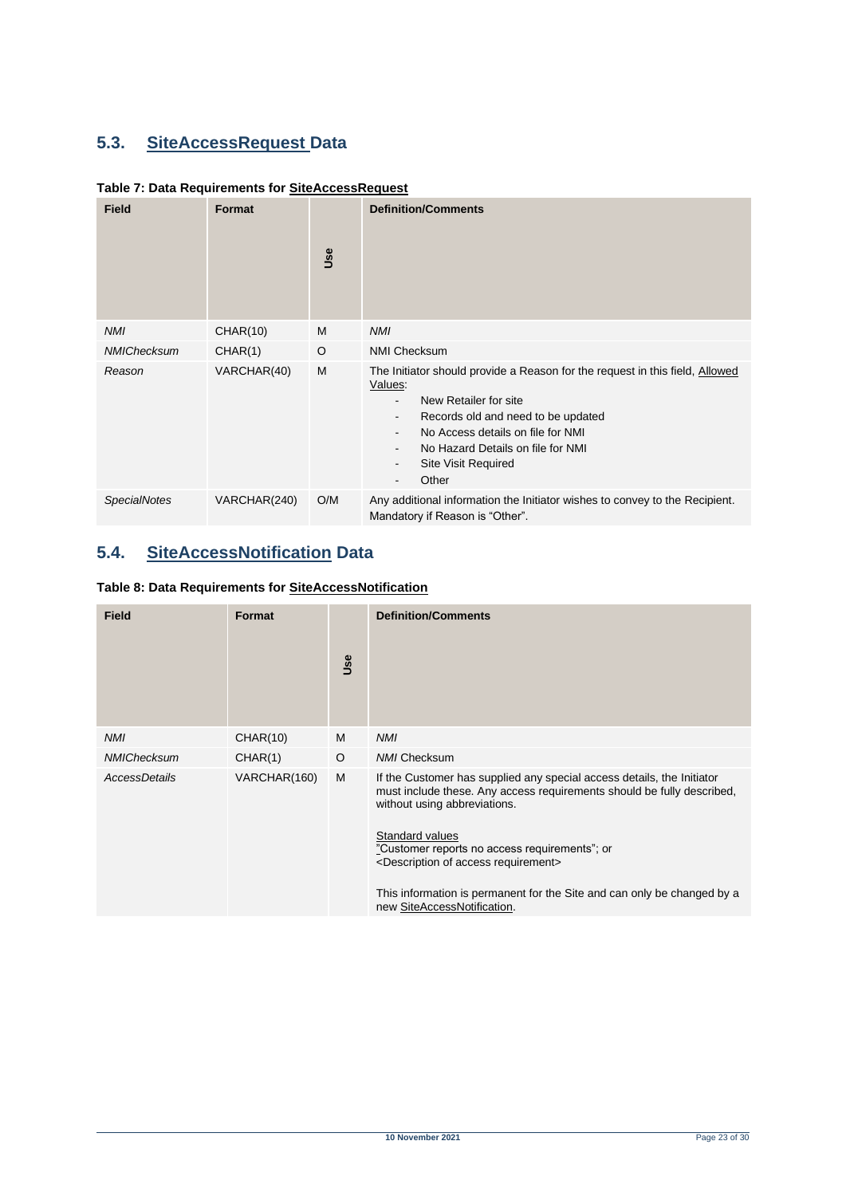# <span id="page-22-0"></span>**5.3. SiteAccessRequest Data**

<span id="page-22-2"></span>

| Table 7: Data Requirements for SiteAccessRequest |  |
|--------------------------------------------------|--|
|--------------------------------------------------|--|

| <b>Field</b>        | Format       | Use | <b>Definition/Comments</b>                                                                                                                                                                                                                                                                                                                                                                                               |
|---------------------|--------------|-----|--------------------------------------------------------------------------------------------------------------------------------------------------------------------------------------------------------------------------------------------------------------------------------------------------------------------------------------------------------------------------------------------------------------------------|
| <b>NMI</b>          | CHAR(10)     | M   | <b>NMI</b>                                                                                                                                                                                                                                                                                                                                                                                                               |
| NMIChecksum         | CHAR(1)      | O   | <b>NMI Checksum</b>                                                                                                                                                                                                                                                                                                                                                                                                      |
| Reason              | VARCHAR(40)  | M   | The Initiator should provide a Reason for the request in this field, Allowed<br>Values:<br>New Retailer for site<br>$\overline{\phantom{0}}$<br>Records old and need to be updated<br>$\overline{\phantom{0}}$<br>No Access details on file for NMI<br>$\overline{\phantom{0}}$<br>No Hazard Details on file for NMI<br>$\overline{\phantom{0}}$<br><b>Site Visit Required</b><br>-<br>Other<br>$\overline{\phantom{0}}$ |
| <b>SpecialNotes</b> | VARCHAR(240) | O/M | Any additional information the Initiator wishes to convey to the Recipient.<br>Mandatory if Reason is "Other".                                                                                                                                                                                                                                                                                                           |

# <span id="page-22-1"></span>**5.4. SiteAccessNotification Data**

<span id="page-22-3"></span>

|  | Table 8: Data Requirements for SiteAccessNotification |
|--|-------------------------------------------------------|
|  |                                                       |

| <b>Field</b>       | <b>Format</b> | Use     | <b>Definition/Comments</b>                                                                                                                                                                                                                                                                                                                                                                                                     |
|--------------------|---------------|---------|--------------------------------------------------------------------------------------------------------------------------------------------------------------------------------------------------------------------------------------------------------------------------------------------------------------------------------------------------------------------------------------------------------------------------------|
| <b>NMI</b>         | CHAR(10)      | M       | <b>NMI</b>                                                                                                                                                                                                                                                                                                                                                                                                                     |
| <b>NMIChecksum</b> | CHAR(1)       | $\circ$ | <b>NMI Checksum</b>                                                                                                                                                                                                                                                                                                                                                                                                            |
| AccessDetails      | VARCHAR(160)  | M       | If the Customer has supplied any special access details, the Initiator<br>must include these. Any access requirements should be fully described.<br>without using abbreviations.<br>Standard values<br>"Customer reports no access requirements"; or<br><description access="" of="" requirement=""><br/>This information is permanent for the Site and can only be changed by a<br/>new SiteAccessNotification.</description> |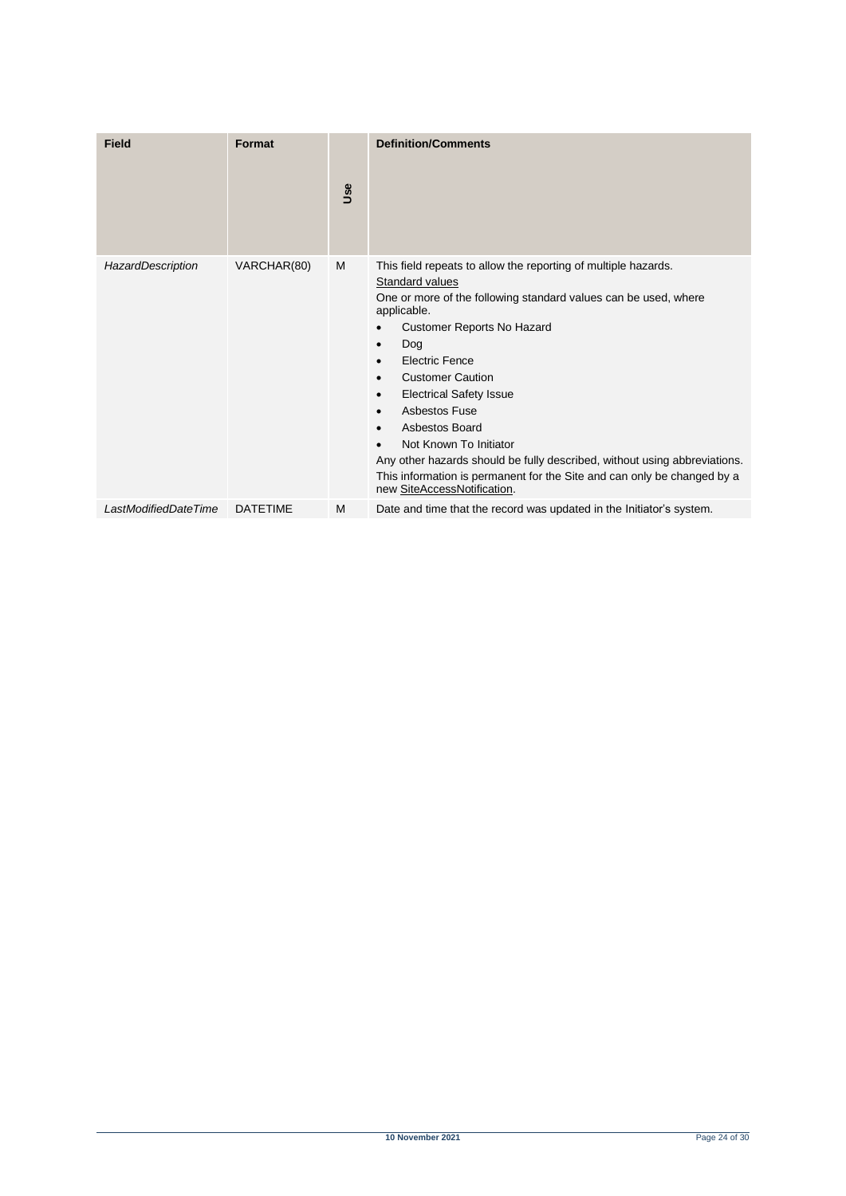| <b>Field</b>         | Format          | Use | <b>Definition/Comments</b>                                                                                                                                                                                                                                                                                                                                                                                                                                                                                                                                                                                  |
|----------------------|-----------------|-----|-------------------------------------------------------------------------------------------------------------------------------------------------------------------------------------------------------------------------------------------------------------------------------------------------------------------------------------------------------------------------------------------------------------------------------------------------------------------------------------------------------------------------------------------------------------------------------------------------------------|
| HazardDescription    | VARCHAR(80)     | M   | This field repeats to allow the reporting of multiple hazards.<br>Standard values<br>One or more of the following standard values can be used, where<br>applicable.<br>Customer Reports No Hazard<br>Dog<br>٠<br><b>Electric Fence</b><br>$\bullet$<br><b>Customer Caution</b><br>$\bullet$<br><b>Electrical Safety Issue</b><br>$\bullet$<br>Asbestos Fuse<br>$\bullet$<br>Asbestos Board<br>Not Known To Initiator<br>Any other hazards should be fully described, without using abbreviations.<br>This information is permanent for the Site and can only be changed by a<br>new SiteAccessNotification. |
| LastModifiedDateTime | <b>DATETIME</b> | M   | Date and time that the record was updated in the Initiator's system.                                                                                                                                                                                                                                                                                                                                                                                                                                                                                                                                        |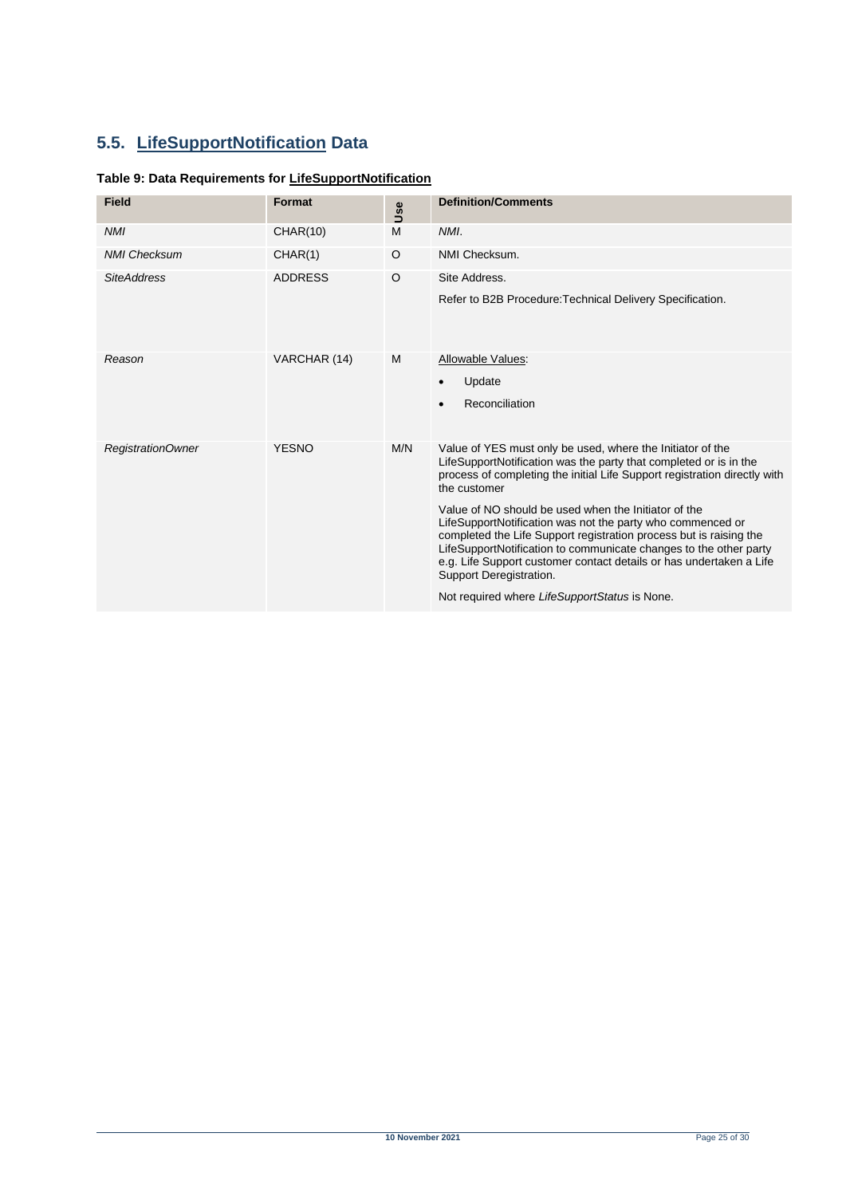# <span id="page-24-0"></span>**5.5. LifeSupportNotification Data**

### <span id="page-24-1"></span>**Table 9: Data Requirements for LifeSupportNotification**

| <b>Field</b>        | Format         | Use | <b>Definition/Comments</b>                                                                                                                                                                                                                                                                                                                                                                                                                                                                                                                                                                                                                       |
|---------------------|----------------|-----|--------------------------------------------------------------------------------------------------------------------------------------------------------------------------------------------------------------------------------------------------------------------------------------------------------------------------------------------------------------------------------------------------------------------------------------------------------------------------------------------------------------------------------------------------------------------------------------------------------------------------------------------------|
| <b>NMI</b>          | CHAR(10)       | M   | NMI.                                                                                                                                                                                                                                                                                                                                                                                                                                                                                                                                                                                                                                             |
| <b>NMI Checksum</b> | CHAR(1)        | O   | NMI Checksum.                                                                                                                                                                                                                                                                                                                                                                                                                                                                                                                                                                                                                                    |
| <b>SiteAddress</b>  | <b>ADDRESS</b> | O   | Site Address.<br>Refer to B2B Procedure: Technical Delivery Specification.                                                                                                                                                                                                                                                                                                                                                                                                                                                                                                                                                                       |
| Reason              | VARCHAR (14)   | M   | Allowable Values:<br>Update<br>$\bullet$<br>Reconciliation                                                                                                                                                                                                                                                                                                                                                                                                                                                                                                                                                                                       |
| RegistrationOwner   | <b>YESNO</b>   | M/N | Value of YES must only be used, where the Initiator of the<br>LifeSupportNotification was the party that completed or is in the<br>process of completing the initial Life Support registration directly with<br>the customer<br>Value of NO should be used when the Initiator of the<br>LifeSupportNotification was not the party who commenced or<br>completed the Life Support registration process but is raising the<br>LifeSupportNotification to communicate changes to the other party<br>e.g. Life Support customer contact details or has undertaken a Life<br>Support Deregistration.<br>Not required where LifeSupportStatus is None. |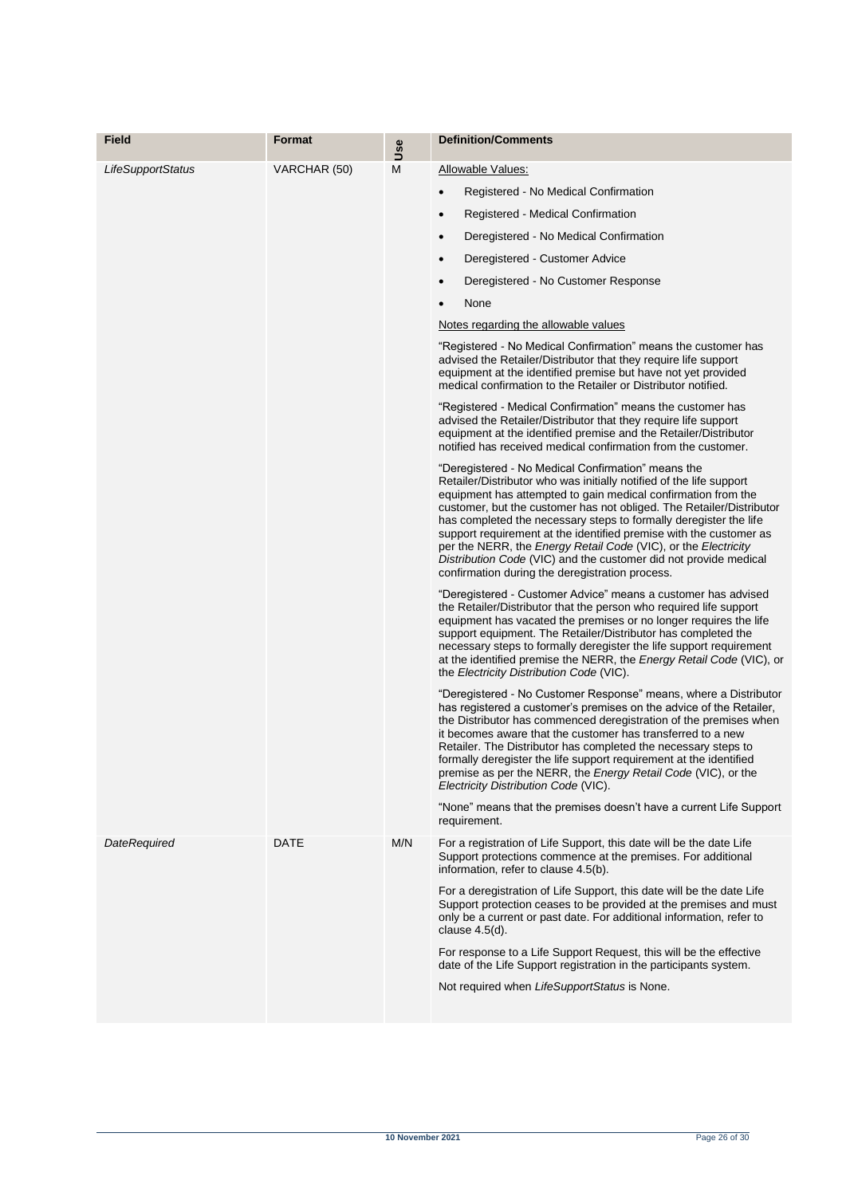| <b>Field</b>      | Format       | Use | <b>Definition/Comments</b>                                                                                                                                                                                                                                                                                                                                                                                                                                                                                                                                                                                                                                                                                                                                                                                                                                                                                                                                                                                                                                                                                                                                                                                                                                                                                                                                                                                                                                                                                                                                                                                                                                                                                                                                                                                                                                                                                                                                                                                                                                                                                                                                                                                                                                                                                                                                                                                                                                                                                                                                                                                               |
|-------------------|--------------|-----|--------------------------------------------------------------------------------------------------------------------------------------------------------------------------------------------------------------------------------------------------------------------------------------------------------------------------------------------------------------------------------------------------------------------------------------------------------------------------------------------------------------------------------------------------------------------------------------------------------------------------------------------------------------------------------------------------------------------------------------------------------------------------------------------------------------------------------------------------------------------------------------------------------------------------------------------------------------------------------------------------------------------------------------------------------------------------------------------------------------------------------------------------------------------------------------------------------------------------------------------------------------------------------------------------------------------------------------------------------------------------------------------------------------------------------------------------------------------------------------------------------------------------------------------------------------------------------------------------------------------------------------------------------------------------------------------------------------------------------------------------------------------------------------------------------------------------------------------------------------------------------------------------------------------------------------------------------------------------------------------------------------------------------------------------------------------------------------------------------------------------------------------------------------------------------------------------------------------------------------------------------------------------------------------------------------------------------------------------------------------------------------------------------------------------------------------------------------------------------------------------------------------------------------------------------------------------------------------------------------------------|
| LifeSupportStatus | VARCHAR (50) | M   | Allowable Values:<br>Registered - No Medical Confirmation<br>$\bullet$<br>Registered - Medical Confirmation<br>$\bullet$<br>Deregistered - No Medical Confirmation<br>$\bullet$<br>Deregistered - Customer Advice<br>$\bullet$<br>Deregistered - No Customer Response<br>$\bullet$<br>None<br>$\bullet$<br>Notes regarding the allowable values<br>"Registered - No Medical Confirmation" means the customer has<br>advised the Retailer/Distributor that they require life support<br>equipment at the identified premise but have not yet provided<br>medical confirmation to the Retailer or Distributor notified.<br>"Registered - Medical Confirmation" means the customer has<br>advised the Retailer/Distributor that they require life support<br>equipment at the identified premise and the Retailer/Distributor<br>notified has received medical confirmation from the customer.<br>"Deregistered - No Medical Confirmation" means the<br>Retailer/Distributor who was initially notified of the life support<br>equipment has attempted to gain medical confirmation from the<br>customer, but the customer has not obliged. The Retailer/Distributor<br>has completed the necessary steps to formally deregister the life<br>support requirement at the identified premise with the customer as<br>per the NERR, the <i>Energy Retail Code</i> (VIC), or the <i>Electricity</i><br>Distribution Code (VIC) and the customer did not provide medical<br>confirmation during the deregistration process.<br>"Deregistered - Customer Advice" means a customer has advised<br>the Retailer/Distributor that the person who required life support<br>equipment has vacated the premises or no longer requires the life<br>support equipment. The Retailer/Distributor has completed the<br>necessary steps to formally deregister the life support requirement<br>at the identified premise the NERR, the <i>Energy Retail Code</i> (VIC), or<br>the Electricity Distribution Code (VIC).<br>"Deregistered - No Customer Response" means, where a Distributor<br>has registered a customer's premises on the advice of the Retailer,<br>the Distributor has commenced deregistration of the premises when<br>it becomes aware that the customer has transferred to a new<br>Retailer. The Distributor has completed the necessary steps to<br>formally deregister the life support requirement at the identified<br>premise as per the NERR, the Energy Retail Code (VIC), or the<br>Electricity Distribution Code (VIC).<br>"None" means that the premises doesn't have a current Life Support<br>requirement. |
| DateRequired      | DATE         | M/N | For a registration of Life Support, this date will be the date Life<br>Support protections commence at the premises. For additional<br>information, refer to clause 4.5(b).<br>For a deregistration of Life Support, this date will be the date Life<br>Support protection ceases to be provided at the premises and must<br>only be a current or past date. For additional information, refer to<br>clause $4.5(d)$ .<br>For response to a Life Support Request, this will be the effective<br>date of the Life Support registration in the participants system.<br>Not required when LifeSupportStatus is None.                                                                                                                                                                                                                                                                                                                                                                                                                                                                                                                                                                                                                                                                                                                                                                                                                                                                                                                                                                                                                                                                                                                                                                                                                                                                                                                                                                                                                                                                                                                                                                                                                                                                                                                                                                                                                                                                                                                                                                                                        |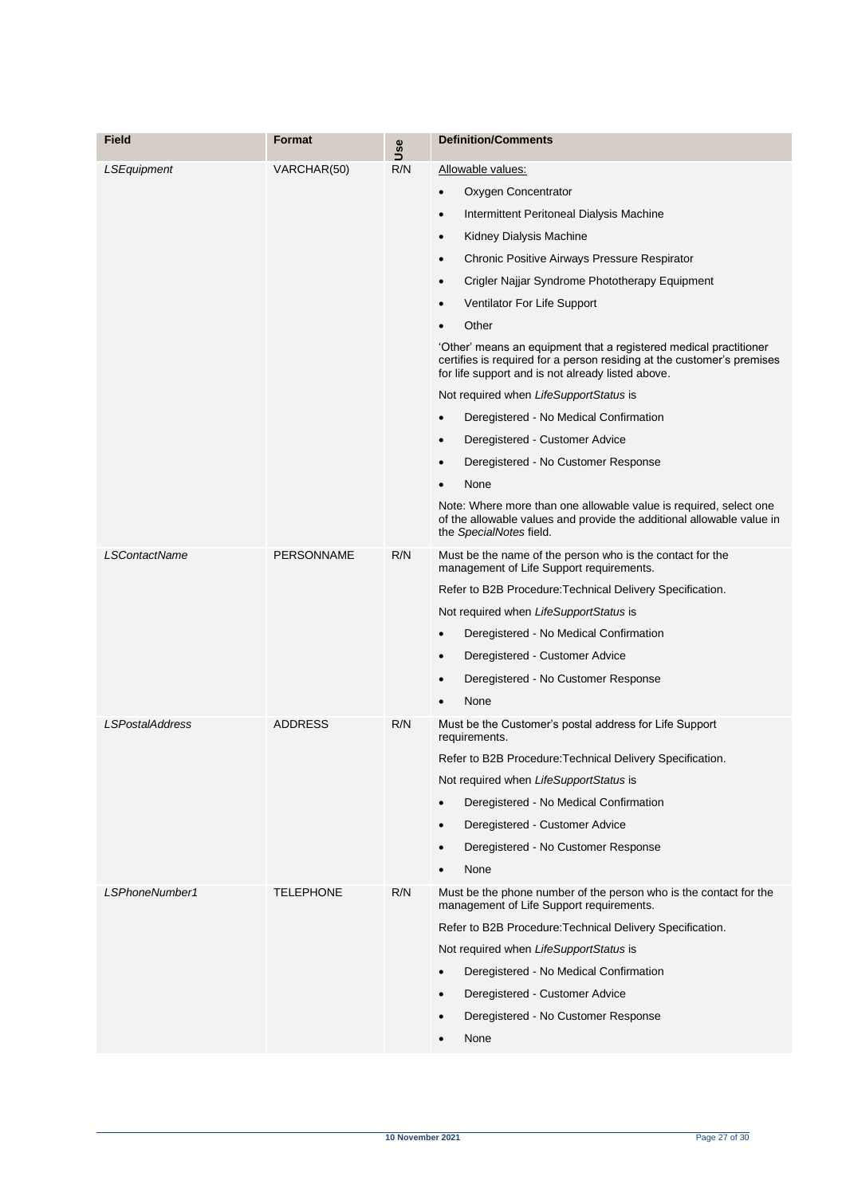| Field                  | <b>Format</b>     | Use | <b>Definition/Comments</b>                                                                                                                                                                       |
|------------------------|-------------------|-----|--------------------------------------------------------------------------------------------------------------------------------------------------------------------------------------------------|
| LSEquipment            | VARCHAR(50)       | R/N | Allowable values:                                                                                                                                                                                |
|                        |                   |     | Oxygen Concentrator<br>٠                                                                                                                                                                         |
|                        |                   |     | Intermittent Peritoneal Dialysis Machine<br>$\bullet$                                                                                                                                            |
|                        |                   |     | Kidney Dialysis Machine<br>٠                                                                                                                                                                     |
|                        |                   |     | Chronic Positive Airways Pressure Respirator<br>$\bullet$                                                                                                                                        |
|                        |                   |     | Crigler Najjar Syndrome Phototherapy Equipment<br>٠                                                                                                                                              |
|                        |                   |     | Ventilator For Life Support<br>$\bullet$                                                                                                                                                         |
|                        |                   |     | Other                                                                                                                                                                                            |
|                        |                   |     | 'Other' means an equipment that a registered medical practitioner<br>certifies is required for a person residing at the customer's premises<br>for life support and is not already listed above. |
|                        |                   |     | Not required when LifeSupportStatus is                                                                                                                                                           |
|                        |                   |     | Deregistered - No Medical Confirmation<br>$\bullet$                                                                                                                                              |
|                        |                   |     | Deregistered - Customer Advice<br>$\bullet$                                                                                                                                                      |
|                        |                   |     | Deregistered - No Customer Response<br>٠                                                                                                                                                         |
|                        |                   |     | None                                                                                                                                                                                             |
|                        |                   |     | Note: Where more than one allowable value is required, select one<br>of the allowable values and provide the additional allowable value in<br>the SpecialNotes field.                            |
| <b>LSContactName</b>   | <b>PERSONNAME</b> | R/N | Must be the name of the person who is the contact for the<br>management of Life Support requirements.                                                                                            |
|                        |                   |     | Refer to B2B Procedure: Technical Delivery Specification.                                                                                                                                        |
|                        |                   |     | Not required when LifeSupportStatus is                                                                                                                                                           |
|                        |                   |     | Deregistered - No Medical Confirmation<br>٠                                                                                                                                                      |
|                        |                   |     | Deregistered - Customer Advice<br>٠                                                                                                                                                              |
|                        |                   |     | Deregistered - No Customer Response<br>$\bullet$                                                                                                                                                 |
|                        |                   |     | None                                                                                                                                                                                             |
| <b>LSPostalAddress</b> | <b>ADDRESS</b>    | R/N | Must be the Customer's postal address for Life Support<br>requirements.                                                                                                                          |
|                        |                   |     | Refer to B2B Procedure: Technical Delivery Specification.                                                                                                                                        |
|                        |                   |     | Not required when LifeSupportStatus is                                                                                                                                                           |
|                        |                   |     | Deregistered - No Medical Confirmation<br>$\bullet$                                                                                                                                              |
|                        |                   |     | Deregistered - Customer Advice<br>$\bullet$                                                                                                                                                      |
|                        |                   |     | Deregistered - No Customer Response<br>٠                                                                                                                                                         |
|                        |                   |     | None                                                                                                                                                                                             |
| LSPhoneNumber1         | <b>TELEPHONE</b>  | R/N | Must be the phone number of the person who is the contact for the<br>management of Life Support requirements.                                                                                    |
|                        |                   |     | Refer to B2B Procedure: Technical Delivery Specification.                                                                                                                                        |
|                        |                   |     | Not required when LifeSupportStatus is                                                                                                                                                           |
|                        |                   |     | Deregistered - No Medical Confirmation                                                                                                                                                           |
|                        |                   |     | Deregistered - Customer Advice<br>$\bullet$                                                                                                                                                      |
|                        |                   |     | Deregistered - No Customer Response<br>٠                                                                                                                                                         |
|                        |                   |     | None                                                                                                                                                                                             |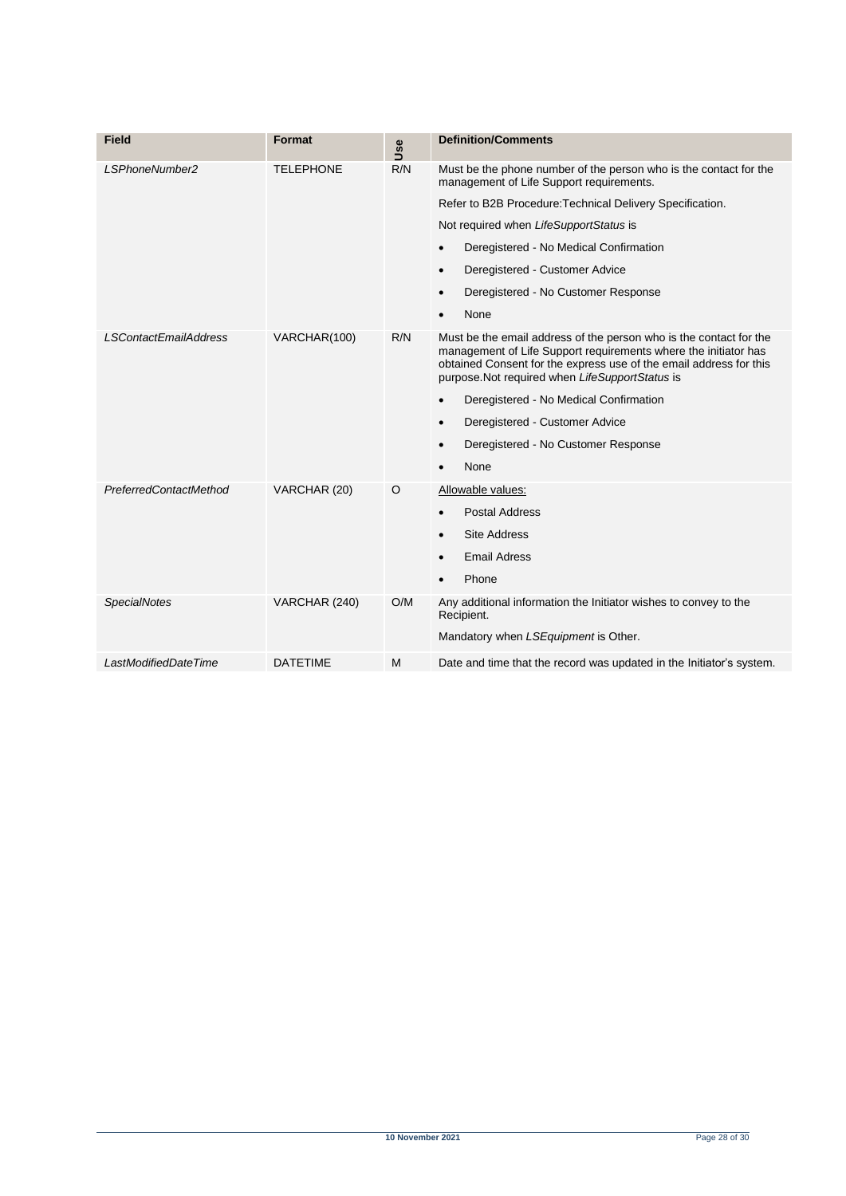| <b>Field</b>                 | Format           | Jse | <b>Definition/Comments</b>                                                                                                                                                                                                                                     |
|------------------------------|------------------|-----|----------------------------------------------------------------------------------------------------------------------------------------------------------------------------------------------------------------------------------------------------------------|
| LSPhoneNumber2               | <b>TELEPHONE</b> | R/N | Must be the phone number of the person who is the contact for the<br>management of Life Support requirements.                                                                                                                                                  |
|                              |                  |     | Refer to B2B Procedure: Technical Delivery Specification.                                                                                                                                                                                                      |
|                              |                  |     | Not required when LifeSupportStatus is                                                                                                                                                                                                                         |
|                              |                  |     | Deregistered - No Medical Confirmation<br>$\bullet$                                                                                                                                                                                                            |
|                              |                  |     | Deregistered - Customer Advice<br>$\bullet$                                                                                                                                                                                                                    |
|                              |                  |     | Deregistered - No Customer Response<br>$\bullet$                                                                                                                                                                                                               |
|                              |                  |     | None                                                                                                                                                                                                                                                           |
| <b>LSContactEmailAddress</b> | VARCHAR(100)     | R/N | Must be the email address of the person who is the contact for the<br>management of Life Support requirements where the initiator has<br>obtained Consent for the express use of the email address for this<br>purpose. Not required when LifeSupportStatus is |
|                              |                  |     | Deregistered - No Medical Confirmation<br>$\bullet$                                                                                                                                                                                                            |
|                              |                  |     | Deregistered - Customer Advice<br>$\bullet$                                                                                                                                                                                                                    |
|                              |                  |     | Deregistered - No Customer Response<br>$\bullet$                                                                                                                                                                                                               |
|                              |                  |     | None<br>$\bullet$                                                                                                                                                                                                                                              |
| PreferredContactMethod       | VARCHAR (20)     | O   | Allowable values:                                                                                                                                                                                                                                              |
|                              |                  |     | <b>Postal Address</b><br>$\bullet$                                                                                                                                                                                                                             |
|                              |                  |     | <b>Site Address</b><br>$\bullet$                                                                                                                                                                                                                               |
|                              |                  |     | <b>Email Adress</b>                                                                                                                                                                                                                                            |
|                              |                  |     | Phone                                                                                                                                                                                                                                                          |
| <b>SpecialNotes</b>          | VARCHAR (240)    | O/M | Any additional information the Initiator wishes to convey to the<br>Recipient.                                                                                                                                                                                 |
|                              |                  |     | Mandatory when LSEquipment is Other.                                                                                                                                                                                                                           |
| LastModifiedDateTime         | <b>DATETIME</b>  | M   | Date and time that the record was updated in the Initiator's system.                                                                                                                                                                                           |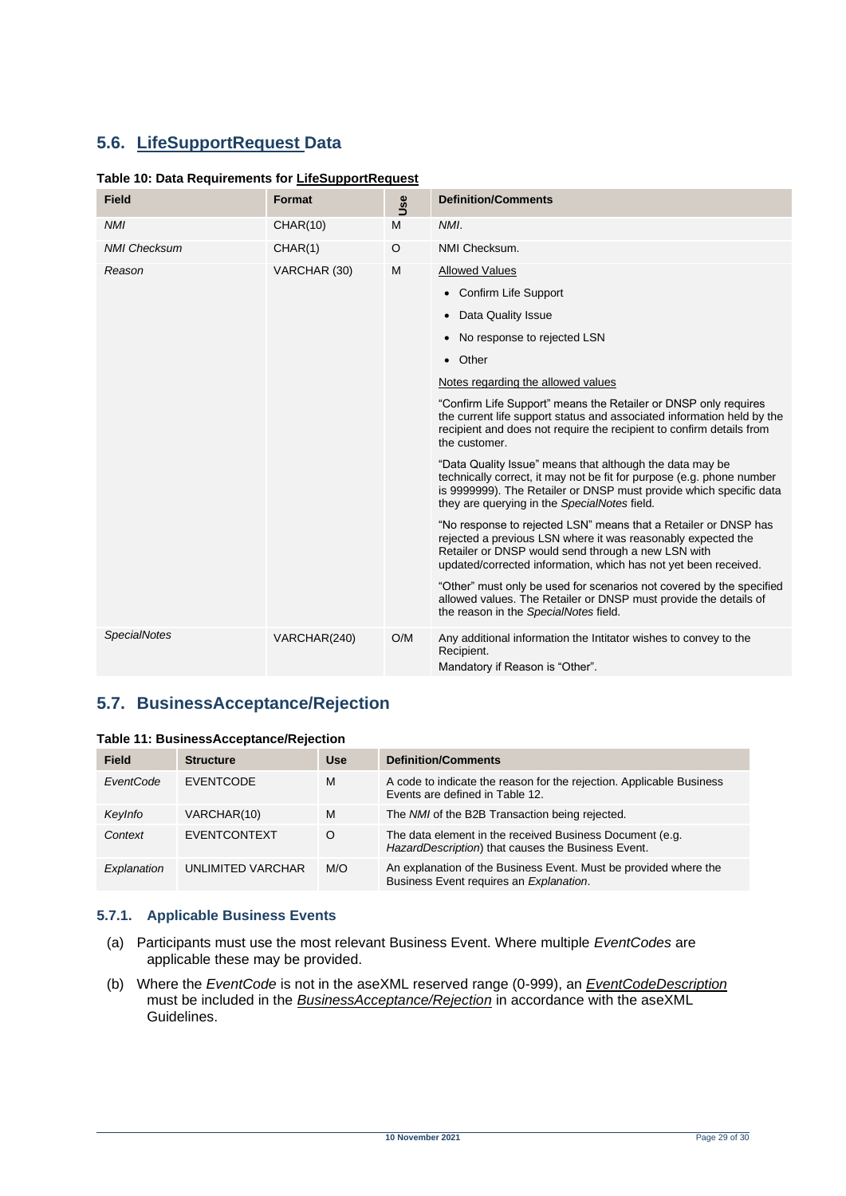# <span id="page-28-0"></span>**5.6. LifeSupportRequest Data**

#### <span id="page-28-2"></span>**Table 10: Data Requirements for LifeSupportRequest**

| <b>Field</b>        | Format          | Use | <b>Definition/Comments</b>                                                                                                                                                                                                                               |
|---------------------|-----------------|-----|----------------------------------------------------------------------------------------------------------------------------------------------------------------------------------------------------------------------------------------------------------|
| <b>NMI</b>          | <b>CHAR(10)</b> | M   | NMI.                                                                                                                                                                                                                                                     |
| <b>NMI Checksum</b> | CHAR(1)         | O   | NMI Checksum.                                                                                                                                                                                                                                            |
| Reason              | VARCHAR (30)    | M   | <b>Allowed Values</b>                                                                                                                                                                                                                                    |
|                     |                 |     | • Confirm Life Support                                                                                                                                                                                                                                   |
|                     |                 |     | Data Quality Issue<br>$\bullet$                                                                                                                                                                                                                          |
|                     |                 |     | No response to rejected LSN<br>$\bullet$                                                                                                                                                                                                                 |
|                     |                 |     | • Other                                                                                                                                                                                                                                                  |
|                     |                 |     | Notes regarding the allowed values                                                                                                                                                                                                                       |
|                     |                 |     | "Confirm Life Support" means the Retailer or DNSP only requires<br>the current life support status and associated information held by the<br>recipient and does not require the recipient to confirm details from<br>the customer.                       |
|                     |                 |     | "Data Quality Issue" means that although the data may be<br>technically correct, it may not be fit for purpose (e.g. phone number<br>is 9999999). The Retailer or DNSP must provide which specific data<br>they are querying in the SpecialNotes field.  |
|                     |                 |     | "No response to rejected LSN" means that a Retailer or DNSP has<br>rejected a previous LSN where it was reasonably expected the<br>Retailer or DNSP would send through a new LSN with<br>updated/corrected information, which has not yet been received. |
|                     |                 |     | "Other" must only be used for scenarios not covered by the specified<br>allowed values. The Retailer or DNSP must provide the details of<br>the reason in the SpecialNotes field.                                                                        |
| <b>SpecialNotes</b> | VARCHAR(240)    | O/M | Any additional information the Intitator wishes to convey to the<br>Recipient.<br>Mandatory if Reason is "Other".                                                                                                                                        |

### <span id="page-28-1"></span>**5.7. BusinessAcceptance/Rejection**

<span id="page-28-3"></span>

|  |  | Table 11: BusinessAcceptance/Rejection |  |
|--|--|----------------------------------------|--|
|--|--|----------------------------------------|--|

| <b>Field</b> | <b>Structure</b>    | <b>Use</b> | <b>Definition/Comments</b>                                                                                     |
|--------------|---------------------|------------|----------------------------------------------------------------------------------------------------------------|
| EventCode    | <b>EVENTCODE</b>    | M          | A code to indicate the reason for the rejection. Applicable Business<br>Events are defined in Table 12.        |
| KeyInfo      | VARCHAR(10)         | M          | The NMI of the B2B Transaction being rejected.                                                                 |
| Context      | <b>EVENTCONTEXT</b> | O          | The data element in the received Business Document (e.g.<br>HazardDescription) that causes the Business Event. |
| Explanation  | UNLIMITED VARCHAR   | M/O        | An explanation of the Business Event. Must be provided where the<br>Business Event requires an Explanation.    |

#### **5.7.1. Applicable Business Events**

- (a) Participants must use the most relevant Business Event. Where multiple *EventCodes* are applicable these may be provided.
- (b) Where the *EventCode* is not in the aseXML reserved range (0-999), an *EventCodeDescription* must be included in the *BusinessAcceptance/Rejection* in accordance with the aseXML Guidelines.